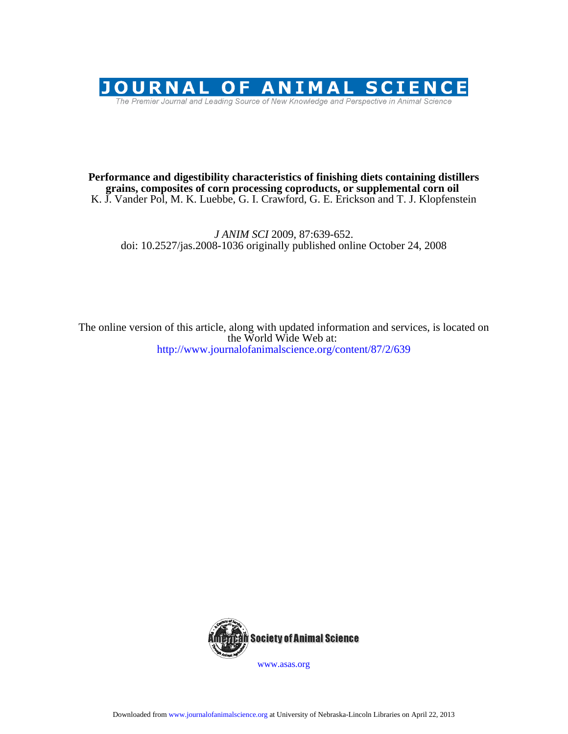

# K. J. Vander Pol, M. K. Luebbe, G. I. Crawford, G. E. Erickson and T. J. Klopfenstein **grains, composites of corn processing coproducts, or supplemental corn oil Performance and digestibility characteristics of finishing diets containing distillers**

doi: 10.2527/jas.2008-1036 originally published online October 24, 2008 *J ANIM SCI* 2009, 87:639-652.

http://www.journalofanimalscience.org/content/87/2/639 the World Wide Web at: The online version of this article, along with updated information and services, is located on



www.asas.org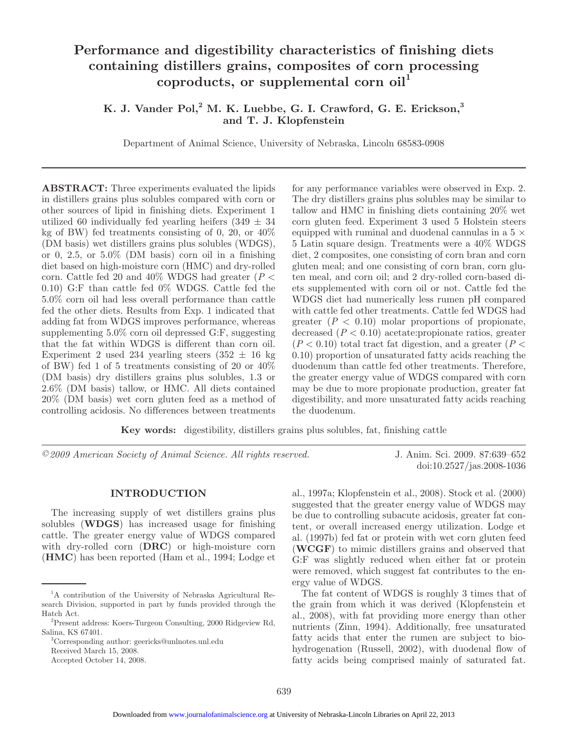# **Performance and digestibility characteristics of finishing diets containing distillers grains, composites of corn processing coproducts, or supplemental corn oil<sup>1</sup>**

# K. J. Vander Pol,<sup>2</sup> M. K. Luebbe, G. I. Crawford, G. E. Erickson,<sup>3</sup> **and T. J. Klopfenstein**

Department of Animal Science, University of Nebraska, Lincoln 68583-0908

**ABSTRACT:** Three experiments evaluated the lipids in distillers grains plus solubles compared with corn or other sources of lipid in finishing diets. Experiment 1 utilized 60 individually fed yearling heifers  $(349 \pm 34)$ kg of BW) fed treatments consisting of 0, 20, or  $40\%$ (DM basis) wet distillers grains plus solubles (WDGS), or 0, 2.5, or  $5.0\%$  (DM basis) corn oil in a finishing diet based on high-moisture corn (HMC) and dry-rolled corn. Cattle fed 20 and 40% WDGS had greater (*P* < 0.10) G:F than cattle fed 0% WDGS. Cattle fed the 5.0% corn oil had less overall performance than cattle fed the other diets. Results from Exp. 1 indicated that adding fat from WDGS improves performance, whereas supplementing 5.0% corn oil depressed G:F, suggesting that the fat within WDGS is different than corn oil. Experiment 2 used 234 yearling steers  $(352 \pm 16 \text{ kg})$ of BW) fed 1 of 5 treatments consisting of 20 or 40% (DM basis) dry distillers grains plus solubles, 1.3 or 2.6% (DM basis) tallow, or HMC. All diets contained 20% (DM basis) wet corn gluten feed as a method of controlling acidosis. No differences between treatments for any performance variables were observed in Exp. 2. The dry distillers grains plus solubles may be similar to tallow and HMC in finishing diets containing 20% wet corn gluten feed. Experiment 3 used 5 Holstein steers equipped with ruminal and duodenal cannulas in a  $5 \times$ 5 Latin square design. Treatments were a 40% WDGS diet, 2 composites, one consisting of corn bran and corn gluten meal; and one consisting of corn bran, corn gluten meal, and corn oil; and 2 dry-rolled corn-based diets supplemented with corn oil or not. Cattle fed the WDGS diet had numerically less rumen pH compared with cattle fed other treatments. Cattle fed WDGS had greater  $(P < 0.10)$  molar proportions of propionate, decreased  $(P < 0.10)$  acetate: propionate ratios, greater  $(P < 0.10)$  total tract fat digestion, and a greater  $(P < 0.10)$ 0.10) proportion of unsaturated fatty acids reaching the duodenum than cattle fed other treatments. Therefore, the greater energy value of WDGS compared with corn may be due to more propionate production, greater fat digestibility, and more unsaturated fatty acids reaching the duodenum.

**Key words:** digestibility, distillers grains plus solubles, fat, finishing cattle

*©2009 American Society of Animal Science. All rights reserved.* J. Anim. Sci. 2009. 87:639–652

doi:10.2527/jas.2008-1036

#### **INTRODUCTION**

The increasing supply of wet distillers grains plus solubles (**WDGS**) has increased usage for finishing cattle. The greater energy value of WDGS compared with dry-rolled corn (**DRC**) or high-moisture corn (**HMC**) has been reported (Ham et al., 1994; Lodge et al., 1997a; Klopfenstein et al., 2008). Stock et al. (2000) suggested that the greater energy value of WDGS may be due to controlling subacute acidosis, greater fat content, or overall increased energy utilization. Lodge et al. (1997b) fed fat or protein with wet corn gluten feed (**WCGF**) to mimic distillers grains and observed that G:F was slightly reduced when either fat or protein were removed, which suggest fat contributes to the energy value of WDGS.

The fat content of WDGS is roughly 3 times that of the grain from which it was derived (Klopfenstein et al., 2008), with fat providing more energy than other nutrients (Zinn, 1994). Additionally, free unsaturated fatty acids that enter the rumen are subject to biohydrogenation (Russell, 2002), with duodenal flow of fatty acids being comprised mainly of saturated fat.

<sup>&</sup>lt;sup>1</sup>A contribution of the University of Nebraska Agricultural Research Division, supported in part by funds provided through the Hatch Act.

<sup>2</sup> Present address: Koers-Turgeon Consulting, 2000 Ridgeview Rd, Salina, KS 67401.

<sup>3</sup> Corresponding author: geericks@unlnotes.unl.edu Received March 15, 2008.

Accepted October 14, 2008.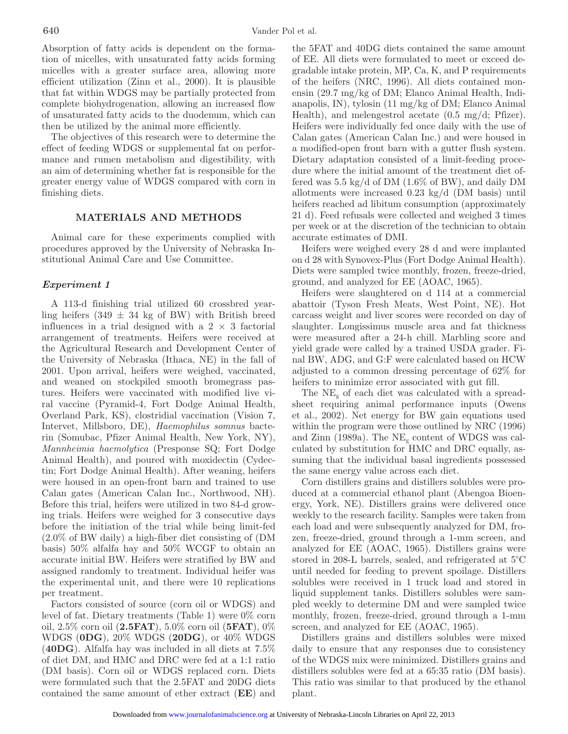Absorption of fatty acids is dependent on the formation of micelles, with unsaturated fatty acids forming micelles with a greater surface area, allowing more efficient utilization (Zinn et al., 2000). It is plausible that fat within WDGS may be partially protected from complete biohydrogenation, allowing an increased flow of unsaturated fatty acids to the duodenum, which can then be utilized by the animal more efficiently.

The objectives of this research were to determine the effect of feeding WDGS or supplemental fat on performance and rumen metabolism and digestibility, with an aim of determining whether fat is responsible for the greater energy value of WDGS compared with corn in finishing diets.

# **MATERIALS AND METHODS**

Animal care for these experiments complied with procedures approved by the University of Nebraska Institutional Animal Care and Use Committee.

# *Experiment 1*

A 113-d finishing trial utilized 60 crossbred yearling heifers  $(349 \pm 34 \text{ kg of BW})$  with British breed influences in a trial designed with a  $2 \times 3$  factorial arrangement of treatments. Heifers were received at the Agricultural Research and Development Center of the University of Nebraska (Ithaca, NE) in the fall of 2001. Upon arrival, heifers were weighed, vaccinated, and weaned on stockpiled smooth bromegrass pastures. Heifers were vaccinated with modified live viral vaccine (Pyramid-4, Fort Dodge Animal Health, Overland Park, KS), clostridial vaccination (Vision 7, Intervet, Millsboro, DE), *Haemophilus somnus* bacterin (Somubac, Pfizer Animal Health, New York, NY), *Mannheimia haemolytica* (Presponse SQ; Fort Dodge Animal Health), and poured with moxidectin (Cydectin; Fort Dodge Animal Health). After weaning, heifers were housed in an open-front barn and trained to use Calan gates (American Calan Inc., Northwood, NH). Before this trial, heifers were utilized in two 84-d growing trials. Heifers were weighed for 3 consecutive days before the initiation of the trial while being limit-fed (2.0% of BW daily) a high-fiber diet consisting of (DM basis) 50% alfalfa hay and 50% WCGF to obtain an accurate initial BW. Heifers were stratified by BW and assigned randomly to treatment. Individual heifer was the experimental unit, and there were 10 replications per treatment.

Factors consisted of source (corn oil or WDGS) and level of fat. Dietary treatments (Table 1) were 0% corn oil, 2.5% corn oil (**2.5FAT**), 5.0% corn oil (**5FAT**), 0% WDGS (**0DG**), 20% WDGS (**20DG**), or 40% WDGS (**40DG**). Alfalfa hay was included in all diets at 7.5% of diet DM, and HMC and DRC were fed at a 1:1 ratio (DM basis). Corn oil or WDGS replaced corn. Diets were formulated such that the 2.5FAT and 20DG diets contained the same amount of ether extract (**EE**) and the 5FAT and 40DG diets contained the same amount of EE. All diets were formulated to meet or exceed degradable intake protein, MP, Ca, K, and P requirements of the heifers (NRC, 1996). All diets contained monensin (29.7 mg/kg of DM; Elanco Animal Health, Indianapolis, IN), tylosin (11 mg/kg of DM; Elanco Animal Health), and melengestrol acetate (0.5 mg/d; Pfizer). Heifers were individually fed once daily with the use of Calan gates (American Calan Inc.) and were housed in a modified-open front barn with a gutter flush system. Dietary adaptation consisted of a limit-feeding procedure where the initial amount of the treatment diet offered was  $5.5 \text{ kg/d of DM } (1.6\% \text{ of BW})$ , and daily DM allotments were increased 0.23 kg/d (DM basis) until heifers reached ad libitum consumption (approximately 21 d). Feed refusals were collected and weighed 3 times per week or at the discretion of the technician to obtain accurate estimates of DMI.

Heifers were weighed every 28 d and were implanted on d 28 with Synovex-Plus (Fort Dodge Animal Health). Diets were sampled twice monthly, frozen, freeze-dried, ground, and analyzed for EE (AOAC, 1965).

Heifers were slaughtered on d 114 at a commercial abattoir (Tyson Fresh Meats, West Point, NE). Hot carcass weight and liver scores were recorded on day of slaughter. Longissimus muscle area and fat thickness were measured after a 24-h chill. Marbling score and yield grade were called by a trained USDA grader. Final BW, ADG, and G:F were calculated based on HCW adjusted to a common dressing percentage of 62% for heifers to minimize error associated with gut fill.

The  $NE_{g}$  of each diet was calculated with a spreadsheet requiring animal performance inputs (Owens et al., 2002). Net energy for BW gain equations used within the program were those outlined by NRC (1996) and Zinn (1989a). The  $\text{NE}_{g}$  content of WDGS was calculated by substitution for HMC and DRC equally, assuming that the individual basal ingredients possessed the same energy value across each diet.

Corn distillers grains and distillers solubles were produced at a commercial ethanol plant (Abengoa Bioenergy, York, NE). Distillers grains were delivered once weekly to the research facility. Samples were taken from each load and were subsequently analyzed for DM, frozen, freeze-dried, ground through a 1-mm screen, and analyzed for EE (AOAC, 1965). Distillers grains were stored in 208-L barrels, sealed, and refrigerated at 5°C until needed for feeding to prevent spoilage. Distillers solubles were received in 1 truck load and stored in liquid supplement tanks. Distillers solubles were sampled weekly to determine DM and were sampled twice monthly, frozen, freeze-dried, ground through a 1-mm screen, and analyzed for EE (AOAC, 1965).

Distillers grains and distillers solubles were mixed daily to ensure that any responses due to consistency of the WDGS mix were minimized. Distillers grains and distillers solubles were fed at a 65:35 ratio (DM basis). This ratio was similar to that produced by the ethanol plant.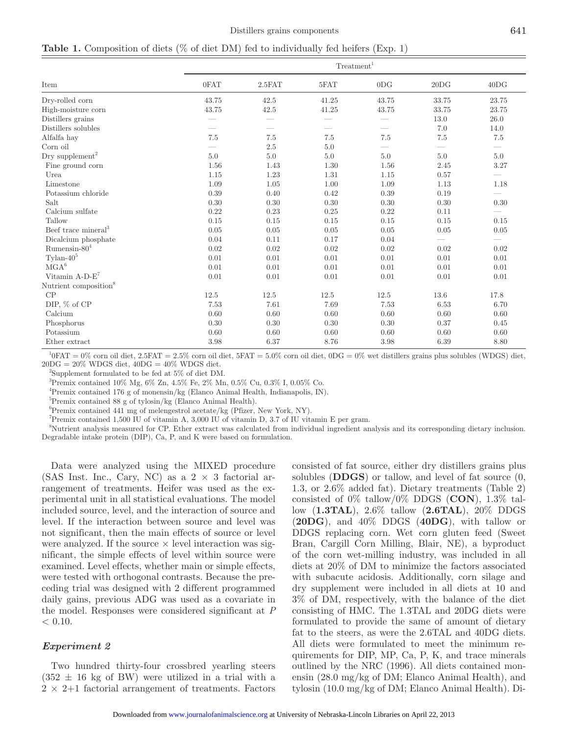|                                   |                          |        | Treatment <sup>1</sup> |                          |                                 |       |
|-----------------------------------|--------------------------|--------|------------------------|--------------------------|---------------------------------|-------|
| Item                              | 0FAT                     | 2.5FAT | 5FAT                   | 0DG                      | 20DG                            | 40DG  |
| Dry-rolled corn                   | 43.75                    | 42.5   | 41.25                  | 43.75                    | 33.75                           | 23.75 |
| High-moisture corn                | 43.75                    | 42.5   | 41.25                  | 43.75                    | 33.75                           | 23.75 |
| Distillers grains                 |                          |        |                        |                          | 13.0                            | 26.0  |
| Distillers solubles               | $\overline{\phantom{0}}$ |        |                        | $\overline{\phantom{0}}$ | 7.0                             | 14.0  |
| Alfalfa hay                       | 7.5                      | 7.5    | 7.5                    | 7.5                      | 7.5                             | 7.5   |
| $\mbox{Corn}$ oil                 |                          | 2.5    | 5.0                    |                          | $\overbrace{\qquad \qquad }^{}$ |       |
| Dry supplement <sup>2</sup>       | 5.0                      | 5.0    | 5.0                    | 5.0                      | 5.0                             | 5.0   |
| Fine ground corn                  | 1.56                     | 1.43   | 1.30                   | 1.56                     | 2.45                            | 3.27  |
| Urea                              | 1.15                     | 1.23   | 1.31                   | 1.15                     | 0.57                            |       |
| Limestone                         | 1.09                     | 1.05   | 1.00                   | 1.09                     | 1.13                            | 1.18  |
| Potassium chloride                | 0.39                     | 0.40   | 0.42                   | 0.39                     | 0.19                            |       |
| Salt                              | 0.30                     | 0.30   | 0.30                   | 0.30                     | 0.30                            | 0.30  |
| Calcium sulfate                   | 0.22                     | 0.23   | 0.25                   | 0.22                     | 0.11                            |       |
| Tallow                            | 0.15                     | 0.15   | 0.15                   | 0.15                     | 0.15                            | 0.15  |
| Beef trace mineral <sup>3</sup>   | 0.05                     | 0.05   | 0.05                   | 0.05                     | 0.05                            | 0.05  |
| Dicalcium phosphate               | 0.04                     | 0.11   | 0.17                   | 0.04                     | $\overline{\phantom{0}}$        |       |
| Rumensin- $804$                   | 0.02                     | 0.02   | 0.02                   | 0.02                     | 0.02                            | 0.02  |
| Tylan- $40^5$                     | 0.01                     | 0.01   | 0.01                   | 0.01                     | 0.01                            | 0.01  |
| $\rm MGA^6$                       | 0.01                     | 0.01   | 0.01                   | 0.01                     | 0.01                            | 0.01  |
| Vitamin $A-D-E^7$                 | 0.01                     | 0.01   | 0.01                   | 0.01                     | 0.01                            | 0.01  |
| Nutrient composition <sup>8</sup> |                          |        |                        |                          |                                 |       |
| CP                                | 12.5                     | 12.5   | 12.5                   | 12.5                     | 13.6                            | 17.8  |
| DIP, $\%$ of CP                   | 7.53                     | 7.61   | 7.69                   | 7.53                     | 6.53                            | 6.70  |
| Calcium                           | 0.60                     | 0.60   | 0.60                   | 0.60                     | 0.60                            | 0.60  |
| Phosphorus                        | 0.30                     | 0.30   | 0.30                   | 0.30                     | 0.37                            | 0.45  |
| Potassium                         | 0.60                     | 0.60   | 0.60                   | 0.60                     | 0.60                            | 0.60  |
| Ether extract                     | 3.98                     | 6.37   | 8.76                   | 3.98                     | 6.39                            | 8.80  |

 $^{10}$ FAT = 0% corn oil diet, 2.5FAT = 2.5% corn oil diet, 5FAT = 5.0% corn oil diet, 0DG = 0% wet distillers grains plus solubles (WDGS) diet,  $20DG = 20\%$  WDGS diet,  $40DG = 40\%$  WDGS diet.

2 Supplement formulated to be fed at 5% of diet DM.

<sup>3</sup>Premix contained 10% Mg, 6% Zn, 4.5% Fe, 2% Mn, 0.5% Cu, 0.3% I, 0.05% Co.

4 Premix contained 176 g of monensin/kg (Elanco Animal Health, Indianapolis, IN).

5 Premix contained 88 g of tylosin/kg (Elanco Animal Health).

6 Premix contained 441 mg of melengestrol acetate/kg (Pfizer, New York, NY).

7 Premix contained 1,500 IU of vitamin A, 3,000 IU of vitamin D, 3.7 of IU vitamin E per gram.

8 Nutrient analysis measured for CP. Ether extract was calculated from individual ingredient analysis and its corresponding dietary inclusion. Degradable intake protein (DIP), Ca, P, and K were based on formulation.

Data were analyzed using the MIXED procedure (SAS Inst. Inc., Cary, NC) as a  $2 \times 3$  factorial arrangement of treatments. Heifer was used as the experimental unit in all statistical evaluations. The model included source, level, and the interaction of source and level. If the interaction between source and level was not significant, then the main effects of source or level were analyzed. If the source  $\times$  level interaction was significant, the simple effects of level within source were examined. Level effects, whether main or simple effects, were tested with orthogonal contrasts. Because the preceding trial was designed with 2 different programmed daily gains, previous ADG was used as a covariate in the model. Responses were considered significant at *P*  $< 0.10.$ 

# *Experiment 2*

Two hundred thirty-four crossbred yearling steers  $(352 \pm 16 \text{ kg of BW})$  were utilized in a trial with a  $2 \times 2 + 1$  factorial arrangement of treatments. Factors consisted of fat source, either dry distillers grains plus solubles (**DDGS**) or tallow, and level of fat source (0, 1.3, or 2.6% added fat). Dietary treatments (Table 2) consisted of 0% tallow/0% DDGS (**CON**), 1.3% tallow (**1.3TAL**), 2.6% tallow (**2.6TAL**), 20% DDGS (**20DG**), and 40% DDGS (**40DG**), with tallow or DDGS replacing corn. Wet corn gluten feed (Sweet Bran, Cargill Corn Milling, Blair, NE), a byproduct of the corn wet-milling industry, was included in all diets at 20% of DM to minimize the factors associated with subacute acidosis. Additionally, corn silage and dry supplement were included in all diets at 10 and 3% of DM, respectively, with the balance of the diet consisting of HMC. The 1.3TAL and 20DG diets were formulated to provide the same of amount of dietary fat to the steers, as were the 2.6TAL and 40DG diets. All diets were formulated to meet the minimum requirements for DIP, MP, Ca, P, K, and trace minerals outlined by the NRC (1996). All diets contained monensin (28.0 mg/kg of DM; Elanco Animal Health), and tylosin (10.0 mg/kg of DM; Elanco Animal Health). Di-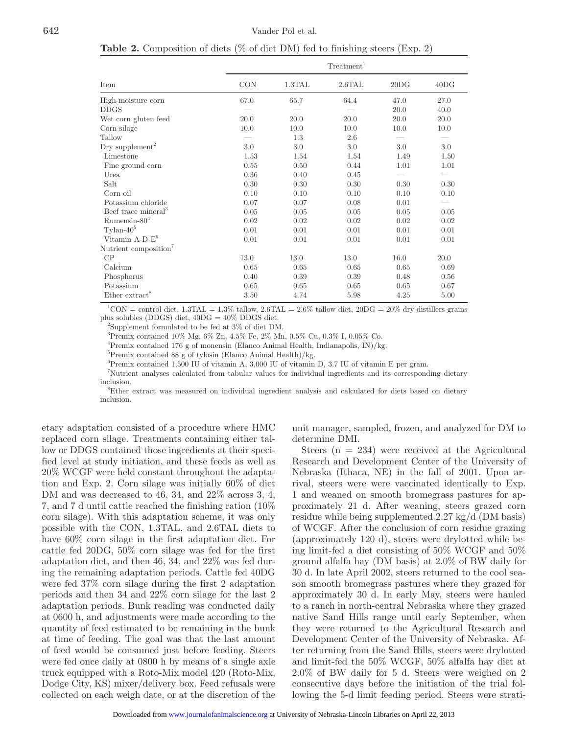**Table 2.** Composition of diets (% of diet DM) fed to finishing steers (Exp. 2)

|                                   | Treatment <sup>1</sup> |        |        |      |         |  |  |
|-----------------------------------|------------------------|--------|--------|------|---------|--|--|
| Item                              | <b>CON</b>             | 1.3TAL | 2.6TAL | 20DG | 40DG    |  |  |
| High-moisture corn                | 67.0                   | 65.7   | 64.4   | 47.0 | 27.0    |  |  |
| $_{\mathrm{DDGS}}$                |                        |        |        | 20.0 | 40.0    |  |  |
| Wet corn gluten feed              | 20.0                   | 20.0   | 20.0   | 20.0 | 20.0    |  |  |
| Corn silage                       | 10.0                   | 10.0   | 10.0   | 10.0 | 10.0    |  |  |
| Tallow                            |                        | 1.3    | 2.6    |      |         |  |  |
| Dry supplement <sup>2</sup>       | 3.0                    | 3.0    | 3.0    | 3.0  | $3.0\,$ |  |  |
| Limestone                         | 1.53                   | 1.54   | 1.54   | 1.49 | 1.50    |  |  |
| Fine ground corn                  | 0.55                   | 0.50   | 0.44   | 1.01 | 1.01    |  |  |
| Urea                              | 0.36                   | 0.40   | 0.45   |      |         |  |  |
| Salt                              | 0.30                   | 0.30   | 0.30   | 0.30 | 0.30    |  |  |
| Corn oil                          | 0.10                   | 0.10   | 0.10   | 0.10 | 0.10    |  |  |
| Potassium chloride                | 0.07                   | 0.07   | 0.08   | 0.01 |         |  |  |
| Beef trace mineral <sup>3</sup>   | 0.05                   | 0.05   | 0.05   | 0.05 | 0.05    |  |  |
| Rumensin- $80^4$                  | 0.02                   | 0.02   | 0.02   | 0.02 | 0.02    |  |  |
| $Tylan-40^5$                      | 0.01                   | 0.01   | 0.01   | 0.01 | 0.01    |  |  |
| Vitamin $A-D-E^6$                 | 0.01                   | 0.01   | 0.01   | 0.01 | 0.01    |  |  |
| Nutrient composition <sup>7</sup> |                        |        |        |      |         |  |  |
| CP                                | 13.0                   | 13.0   | 13.0   | 16.0 | 20.0    |  |  |
| Calcium                           | 0.65                   | 0.65   | 0.65   | 0.65 | 0.69    |  |  |
| Phosphorus                        | 0.40                   | 0.39   | 0.39   | 0.48 | 0.56    |  |  |
| Potassium                         | 0.65                   | 0.65   | 0.65   | 0.65 | 0.67    |  |  |
| Ether extract <sup>8</sup>        | 3.50                   | 4.74   | 5.98   | 4.25 | 5.00    |  |  |

 ${}^{1}$ CON = control diet, 1.3TAL = 1.3% tallow, 2.6TAL = 2.6% tallow diet, 20DG = 20% dry distillers grains plus solubles (DDGS) diet, 40DG = 40% DDGS diet.

2 Supplement formulated to be fed at 3% of diet DM.

3 Premix contained 10% Mg, 6% Zn, 4.5% Fe, 2% Mn, 0.5% Cu, 0.3% I, 0.05% Co.

4 Premix contained 176 g of monensin (Elanco Animal Health, Indianapolis, IN)/kg.

5 Premix contained 88 g of tylosin (Elanco Animal Health)/kg.

6 Premix contained 1,500 IU of vitamin A, 3,000 IU of vitamin D, 3.7 IU of vitamin E per gram.

7 Nutrient analyses calculated from tabular values for individual ingredients and its corresponding dietary inclusion.

8 Ether extract was measured on individual ingredient analysis and calculated for diets based on dietary inclusion.

etary adaptation consisted of a procedure where HMC replaced corn silage. Treatments containing either tallow or DDGS contained those ingredients at their specified level at study initiation, and these feeds as well as 20% WCGF were held constant throughout the adaptation and Exp. 2. Corn silage was initially 60% of diet DM and was decreased to 46, 34, and 22% across 3, 4, 7, and 7 d until cattle reached the finishing ration (10% corn silage). With this adaptation scheme, it was only possible with the CON, 1.3TAL, and 2.6TAL diets to have 60% corn silage in the first adaptation diet. For cattle fed 20DG, 50% corn silage was fed for the first adaptation diet, and then 46, 34, and 22% was fed during the remaining adaptation periods. Cattle fed 40DG were fed 37% corn silage during the first 2 adaptation periods and then 34 and 22% corn silage for the last 2 adaptation periods. Bunk reading was conducted daily at 0600 h, and adjustments were made according to the quantity of feed estimated to be remaining in the bunk at time of feeding. The goal was that the last amount of feed would be consumed just before feeding. Steers were fed once daily at 0800 h by means of a single axle truck equipped with a Roto-Mix model 420 (Roto-Mix, Dodge City, KS) mixer/delivery box. Feed refusals were collected on each weigh date, or at the discretion of the unit manager, sampled, frozen, and analyzed for DM to determine DMI.

Steers  $(n = 234)$  were received at the Agricultural Research and Development Center of the University of Nebraska (Ithaca, NE) in the fall of 2001. Upon arrival, steers were were vaccinated identically to Exp. 1 and weaned on smooth bromegrass pastures for approximately 21 d. After weaning, steers grazed corn residue while being supplemented 2.27 kg/d (DM basis) of WCGF. After the conclusion of corn residue grazing (approximately 120 d), steers were drylotted while being limit-fed a diet consisting of 50% WCGF and 50% ground alfalfa hay (DM basis) at 2.0% of BW daily for 30 d. In late April 2002, steers returned to the cool season smooth bromegrass pastures where they grazed for approximately 30 d. In early May, steers were hauled to a ranch in north-central Nebraska where they grazed native Sand Hills range until early September, when they were returned to the Agricultural Research and Development Center of the University of Nebraska. After returning from the Sand Hills, steers were drylotted and limit-fed the 50% WCGF, 50% alfalfa hay diet at 2.0% of BW daily for 5 d. Steers were weighed on 2 consecutive days before the initiation of the trial following the 5-d limit feeding period. Steers were strati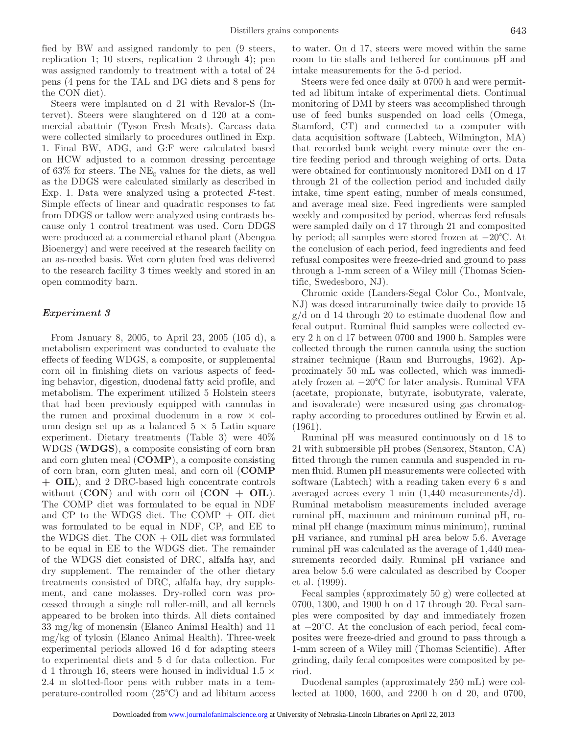fied by BW and assigned randomly to pen (9 steers, replication 1; 10 steers, replication 2 through 4); pen was assigned randomly to treatment with a total of 24 pens (4 pens for the TAL and DG diets and 8 pens for the CON diet).

Steers were implanted on d 21 with Revalor-S (Intervet). Steers were slaughtered on d 120 at a commercial abattoir (Tyson Fresh Meats). Carcass data were collected similarly to procedures outlined in Exp. 1. Final BW, ADG, and G:F were calculated based on HCW adjusted to a common dressing percentage of 63% for steers. The  $NE<sub>g</sub>$  values for the diets, as well as the DDGS were calculated similarly as described in Exp. 1. Data were analyzed using a protected *F*-test. Simple effects of linear and quadratic responses to fat from DDGS or tallow were analyzed using contrasts because only 1 control treatment was used. Corn DDGS were produced at a commercial ethanol plant (Abengoa Bioenergy) and were received at the research facility on an as-needed basis. Wet corn gluten feed was delivered to the research facility 3 times weekly and stored in an open commodity barn.

#### *Experiment 3*

From January 8, 2005, to April 23, 2005 (105 d), a metabolism experiment was conducted to evaluate the effects of feeding WDGS, a composite, or supplemental corn oil in finishing diets on various aspects of feeding behavior, digestion, duodenal fatty acid profile, and metabolism. The experiment utilized 5 Holstein steers that had been previously equipped with cannulas in the rumen and proximal duodenum in a row  $\times$  column design set up as a balanced  $5 \times 5$  Latin square experiment. Dietary treatments (Table 3) were 40% WDGS (**WDGS**), a composite consisting of corn bran and corn gluten meal (**COMP**), a composite consisting of corn bran, corn gluten meal, and corn oil (**COMP + OIL**), and 2 DRC-based high concentrate controls without  $(CON)$  and with corn oil  $(CON + OIL)$ . The COMP diet was formulated to be equal in NDF and CP to the WDGS diet. The COMP + OIL diet was formulated to be equal in NDF, CP, and EE to the WDGS diet. The CON + OIL diet was formulated to be equal in EE to the WDGS diet. The remainder of the WDGS diet consisted of DRC, alfalfa hay, and dry supplement. The remainder of the other dietary treatments consisted of DRC, alfalfa hay, dry supplement, and cane molasses. Dry-rolled corn was processed through a single roll roller-mill, and all kernels appeared to be broken into thirds. All diets contained 33 mg/kg of monensin (Elanco Animal Health) and 11 mg/kg of tylosin (Elanco Animal Health). Three-week experimental periods allowed 16 d for adapting steers to experimental diets and 5 d for data collection. For d 1 through 16, steers were housed in individual 1.5  $\times$ 2.4 m slotted-floor pens with rubber mats in a temperature-controlled room (25°C) and ad libitum access to water. On d 17, steers were moved within the same room to tie stalls and tethered for continuous pH and intake measurements for the 5-d period.

Steers were fed once daily at 0700 h and were permitted ad libitum intake of experimental diets. Continual monitoring of DMI by steers was accomplished through use of feed bunks suspended on load cells (Omega, Stamford, CT) and connected to a computer with data acquisition software (Labtech, Wilmington, MA) that recorded bunk weight every minute over the entire feeding period and through weighing of orts. Data were obtained for continuously monitored DMI on d 17 through 21 of the collection period and included daily intake, time spent eating, number of meals consumed, and average meal size. Feed ingredients were sampled weekly and composited by period, whereas feed refusals were sampled daily on d 17 through 21 and composited by period; all samples were stored frozen at −20°C. At the conclusion of each period, feed ingredients and feed refusal composites were freeze-dried and ground to pass through a 1-mm screen of a Wiley mill (Thomas Scientific, Swedesboro, NJ).

Chromic oxide (Landers-Segal Color Co., Montvale, NJ) was dosed intraruminally twice daily to provide 15 g/d on d 14 through 20 to estimate duodenal flow and fecal output. Ruminal fluid samples were collected every 2 h on d 17 between 0700 and 1900 h. Samples were collected through the rumen cannula using the suction strainer technique (Raun and Burroughs, 1962). Approximately 50 mL was collected, which was immediately frozen at −20°C for later analysis. Ruminal VFA (acetate, propionate, butyrate, isobutyrate, valerate, and isovalerate) were measured using gas chromatography according to procedures outlined by Erwin et al. (1961).

Ruminal pH was measured continuously on d 18 to 21 with submersible pH probes (Sensorex, Stanton, CA) fitted through the rumen cannula and suspended in rumen fluid. Rumen pH measurements were collected with software (Labtech) with a reading taken every 6 s and averaged across every 1 min (1,440 measurements/d). Ruminal metabolism measurements included average ruminal pH, maximum and minimum ruminal pH, ruminal pH change (maximum minus minimum), ruminal pH variance, and ruminal pH area below 5.6. Average ruminal pH was calculated as the average of 1,440 measurements recorded daily. Ruminal pH variance and area below 5.6 were calculated as described by Cooper et al. (1999).

Fecal samples (approximately 50 g) were collected at 0700, 1300, and 1900 h on d 17 through 20. Fecal samples were composited by day and immediately frozen at −20°C. At the conclusion of each period, fecal composites were freeze-dried and ground to pass through a 1-mm screen of a Wiley mill (Thomas Scientific). After grinding, daily fecal composites were composited by period.

Duodenal samples (approximately 250 mL) were collected at 1000, 1600, and 2200 h on d 20, and 0700,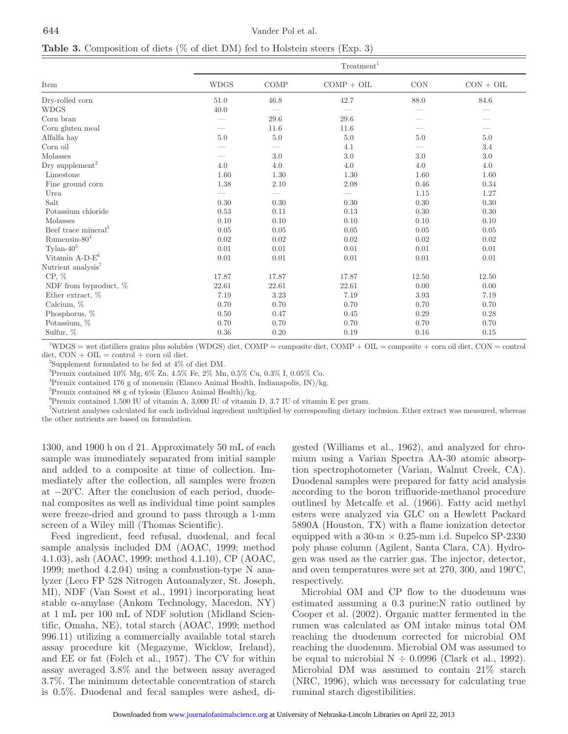**Table 3.** Composition of diets (% of diet DM) fed to Holstein steers (Exp. 3)

|                                 |             | Treatment <sup>1</sup> |              |       |             |  |  |  |  |
|---------------------------------|-------------|------------------------|--------------|-------|-------------|--|--|--|--|
| Item                            | <b>WDGS</b> | COMP                   | $COMP + OIL$ | CON   | $CON + OIL$ |  |  |  |  |
| Dry-rolled corn                 | 51.0        | 46.8                   | 42.7         | 88.0  | 84.6        |  |  |  |  |
| <b>WDGS</b>                     | 40.0        |                        |              |       |             |  |  |  |  |
| Corn bran                       |             | 29.6                   | 29.6         |       |             |  |  |  |  |
| Corn gluten meal                |             | 11.6                   | 11.6         |       |             |  |  |  |  |
| Alfalfa hay                     | 5.0         | 5.0                    | 5.0          | 5.0   | 5.0         |  |  |  |  |
| Corn oil                        |             |                        | 4.1          |       | 3.4         |  |  |  |  |
| Molasses                        |             | 3.0                    | 3.0          | 3.0   | 3.0         |  |  |  |  |
| Dry supplement <sup>2</sup>     | 4.0         | 4.0                    | 4.0          | 4.0   | 4.0         |  |  |  |  |
| Limestone                       | 1.60        | 1.30                   | 1.30         | 1.60  | 1.60        |  |  |  |  |
| Fine ground corn                | $1.38\,$    | 2.10                   | 2.08         | 0.46  | 0.34        |  |  |  |  |
| Urea                            |             |                        |              | 1.15  | 1.27        |  |  |  |  |
| Salt                            | $0.30\,$    | 0.30                   | 0.30         | 0.30  | 0.30        |  |  |  |  |
| Potassium chloride              | 0.53        | 0.11                   | 0.13         | 0.30  | 0.30        |  |  |  |  |
| Molasses                        | 0.10        | 0.10                   | 0.10         | 0.10  | 0.10        |  |  |  |  |
| Beef trace mineral <sup>3</sup> | 0.05        | 0.05                   | 0.05         | 0.05  | 0.05        |  |  |  |  |
| Rumensin- $80^4$                | 0.02        | 0.02                   | 0.02         | 0.02  | 0.02        |  |  |  |  |
| $Tylan-40^5$                    | 0.01        | 0.01                   | 0.01         | 0.01  | 0.01        |  |  |  |  |
| Vitamin $A-D-E^6$               | 0.01        | 0.01                   | 0.01         | 0.01  | 0.01        |  |  |  |  |
| Nutrient analysis <sup>7</sup>  |             |                        |              |       |             |  |  |  |  |
| $CP, \%$                        | 17.87       | 17.87                  | 17.87        | 12.50 | 12.50       |  |  |  |  |
| NDF from byproduct, %           | 22.61       | 22.61                  | 22.61        | 0.00  | 0.00        |  |  |  |  |
| Ether extract, $%$              | 7.19        | 3.23                   | 7.19         | 3.93  | 7.19        |  |  |  |  |
| Calcium, %                      | 0.70        | 0.70                   | 0.70         | 0.70  | 0.70        |  |  |  |  |
| Phosphorus, %                   | 0.50        | 0.47                   | 0.45         | 0.29  | 0.28        |  |  |  |  |
| Potassium, %                    | 0.70        | 0.70                   | 0.70         | 0.70  | 0.70        |  |  |  |  |
| Sulfur, %                       | 0.36        | 0.20                   | 0.19         | 0.16  | 0.15        |  |  |  |  |

1 WDGS = wet distillers grains plus solubles (WDGS) diet, COMP = composite diet, COMP + OIL = composite + corn oil diet, CON = control  $\text{dist}, \text{CON} + \text{OIL} = \text{control} + \text{corn oil diet}.$ 

<sup>2</sup>Supplement formulated to be fed at  $4\%$  of diet DM.

3 Premix contained 10% Mg, 6% Zn, 4.5% Fe, 2% Mn, 0.5% Cu, 0.3% I, 0.05% Co.

4 Premix contained 176 g of monensin (Elanco Animal Health, Indianapolis, IN)/kg.

5 Premix contained 88 g of tylosin (Elanco Animal Health)/kg.

6 Premix contained 1,500 IU of vitamin A, 3,000 IU of vitamin D, 3.7 IU of vitamin E per gram.

7 Nutrient analyses calculated for each individual ingredient multiplied by corresponding dietary inclusion. Ether extract was measured, whereas the other nutrients are based on formulation.

1300, and 1900 h on d 21. Approximately 50 mL of each sample was immediately separated from initial sample and added to a composite at time of collection. Immediately after the collection, all samples were frozen at −20°C. After the conclusion of each period, duodenal composites as well as individual time point samples were freeze-dried and ground to pass through a 1-mm screen of a Wiley mill (Thomas Scientific).

Feed ingredient, feed refusal, duodenal, and fecal sample analysis included DM (AOAC, 1999; method 4.1.03), ash (AOAC, 1999; method 4.1.10), CP (AOAC, 1999; method 4.2.04) using a combustion-type N analyzer (Leco FP 528 Nitrogen Autoanalyzer, St. Joseph, MI), NDF (Van Soest et al., 1991) incorporating heat stable  $\alpha$ -amylase (Ankom Technology, Macedon, NY) at 1 mL per 100 mL of NDF solution (Midland Scientific, Omaha, NE), total starch (AOAC, 1999; method 996.11) utilizing a commercially available total starch assay procedure kit (Megazyme, Wicklow, Ireland), and EE or fat (Folch et al., 1957). The CV for within assay averaged 3.8% and the between assay averaged 3.7%. The minimum detectable concentration of starch is 0.5%. Duodenal and fecal samples were ashed, digested (Williams et al., 1962), and analyzed for chromium using a Varian Spectra AA-30 atomic absorption spectrophotometer (Varian, Walnut Creek, CA). Duodenal samples were prepared for fatty acid analysis according to the boron trifluoride-methanol procedure outlined by Metcalfe et al. (1966). Fatty acid methyl esters were analyzed via GLC on a Hewlett Packard 5890A (Houston, TX) with a flame ionization detector equipped with a 30-m  $\times$  0.25-mm i.d. Supelco SP-2330 poly phase column (Agilent, Santa Clara, CA). Hydrogen was used as the carrier gas. The injector, detector, and oven temperatures were set at 270, 300, and 190°C, respectively.

Microbial OM and CP flow to the duodenum was estimated assuming a 0.3 purine:N ratio outlined by Cooper et al. (2002). Organic matter fermented in the rumen was calculated as OM intake minus total OM reaching the duodenum corrected for microbial OM reaching the duodenum. Microbial OM was assumed to be equal to microbial  $N \div 0.0996$  (Clark et al., 1992). Microbial DM was assumed to contain 21% starch (NRC, 1996), which was necessary for calculating true ruminal starch digestibilities.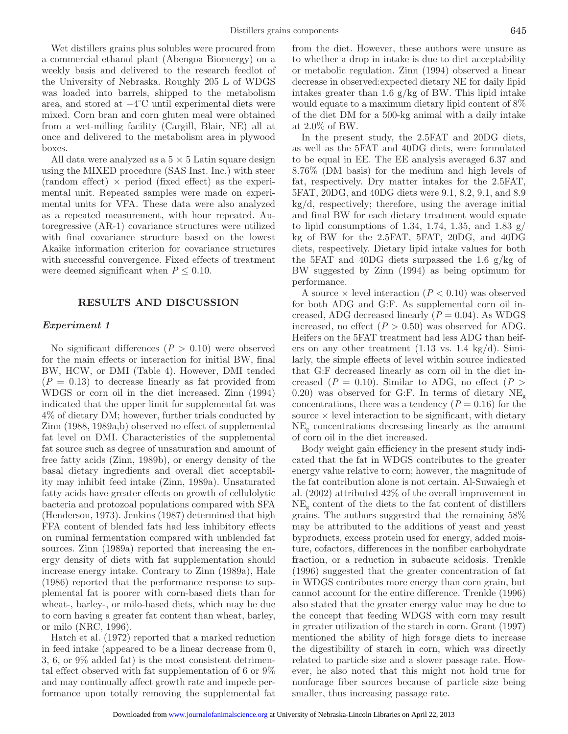Wet distillers grains plus solubles were procured from a commercial ethanol plant (Abengoa Bioenergy) on a weekly basis and delivered to the research feedlot of the University of Nebraska. Roughly 205 L of WDGS was loaded into barrels, shipped to the metabolism area, and stored at −4°C until experimental diets were mixed. Corn bran and corn gluten meal were obtained from a wet-milling facility (Cargill, Blair, NE) all at once and delivered to the metabolism area in plywood boxes.

All data were analyzed as a  $5 \times 5$  Latin square design using the MIXED procedure (SAS Inst. Inc.) with steer (random effect)  $\times$  period (fixed effect) as the experimental unit. Repeated samples were made on experimental units for VFA. These data were also analyzed as a repeated measurement, with hour repeated. Autoregressive (AR-1) covariance structures were utilized with final covariance structure based on the lowest Akaike information criterion for covariance structures with successful convergence. Fixed effects of treatment were deemed significant when  $P \leq 0.10$ .

#### **RESULTS AND DISCUSSION**

# *Experiment 1*

No significant differences  $(P > 0.10)$  were observed for the main effects or interaction for initial BW, final BW, HCW, or DMI (Table 4). However, DMI tended  $(P = 0.13)$  to decrease linearly as fat provided from WDGS or corn oil in the diet increased. Zinn (1994) indicated that the upper limit for supplemental fat was 4% of dietary DM; however, further trials conducted by Zinn (1988, 1989a,b) observed no effect of supplemental fat level on DMI. Characteristics of the supplemental fat source such as degree of unsaturation and amount of free fatty acids (Zinn, 1989b), or energy density of the basal dietary ingredients and overall diet acceptability may inhibit feed intake (Zinn, 1989a). Unsaturated fatty acids have greater effects on growth of cellulolytic bacteria and protozoal populations compared with SFA (Henderson, 1973). Jenkins (1987) determined that high FFA content of blended fats had less inhibitory effects on ruminal fermentation compared with unblended fat sources. Zinn (1989a) reported that increasing the energy density of diets with fat supplementation should increase energy intake. Contrary to Zinn (1989a), Hale (1986) reported that the performance response to supplemental fat is poorer with corn-based diets than for wheat-, barley-, or milo-based diets, which may be due to corn having a greater fat content than wheat, barley, or milo (NRC, 1996).

Hatch et al. (1972) reported that a marked reduction in feed intake (appeared to be a linear decrease from 0, 3, 6, or 9% added fat) is the most consistent detrimental effect observed with fat supplementation of 6 or 9% and may continually affect growth rate and impede performance upon totally removing the supplemental fat from the diet. However, these authors were unsure as to whether a drop in intake is due to diet acceptability or metabolic regulation. Zinn (1994) observed a linear decrease in observed:expected dietary NE for daily lipid intakes greater than 1.6 g/kg of BW. This lipid intake would equate to a maximum dietary lipid content of 8% of the diet DM for a 500-kg animal with a daily intake at 2.0% of BW.

In the present study, the 2.5FAT and 20DG diets, as well as the 5FAT and 40DG diets, were formulated to be equal in EE. The EE analysis averaged 6.37 and 8.76% (DM basis) for the medium and high levels of fat, respectively. Dry matter intakes for the 2.5FAT, 5FAT, 20DG, and 40DG diets were 9.1, 8.2, 9.1, and 8.9 kg/d, respectively; therefore, using the average initial and final BW for each dietary treatment would equate to lipid consumptions of 1.34, 1.74, 1.35, and 1.83  $g/$ kg of BW for the 2.5FAT, 5FAT, 20DG, and 40DG diets, respectively. Dietary lipid intake values for both the 5FAT and 40DG diets surpassed the 1.6 g/kg of BW suggested by Zinn (1994) as being optimum for performance.

A source  $\times$  level interaction ( $P < 0.10$ ) was observed for both ADG and G:F. As supplemental corn oil increased, ADG decreased linearly  $(P = 0.04)$ . As WDGS increased, no effect  $(P > 0.50)$  was observed for ADG. Heifers on the 5FAT treatment had less ADG than heifers on any other treatment  $(1.13 \text{ vs. } 1.4 \text{ kg/d}).$  Similarly, the simple effects of level within source indicated that G:F decreased linearly as corn oil in the diet increased ( $P = 0.10$ ). Similar to ADG, no effect ( $P >$ 0.20) was observed for G:F. In terms of dietary  $NE_{g}$ concentrations, there was a tendency  $(P = 0.16)$  for the source  $\times$  level interaction to be significant, with dietary  $NE<sub>g</sub>$  concentrations decreasing linearly as the amount of corn oil in the diet increased.

Body weight gain efficiency in the present study indicated that the fat in WDGS contributes to the greater energy value relative to corn; however, the magnitude of the fat contribution alone is not certain. Al-Suwaiegh et al. (2002) attributed 42% of the overall improvement in  $NE<sub>g</sub>$  content of the diets to the fat content of distillers grains. The authors suggested that the remaining 58% may be attributed to the additions of yeast and yeast byproducts, excess protein used for energy, added moisture, cofactors, differences in the nonfiber carbohydrate fraction, or a reduction in subacute acidosis. Trenkle (1996) suggested that the greater concentration of fat in WDGS contributes more energy than corn grain, but cannot account for the entire difference. Trenkle (1996) also stated that the greater energy value may be due to the concept that feeding WDGS with corn may result in greater utilization of the starch in corn. Grant (1997) mentioned the ability of high forage diets to increase the digestibility of starch in corn, which was directly related to particle size and a slower passage rate. However, he also noted that this might not hold true for nonforage fiber sources because of particle size being smaller, thus increasing passage rate.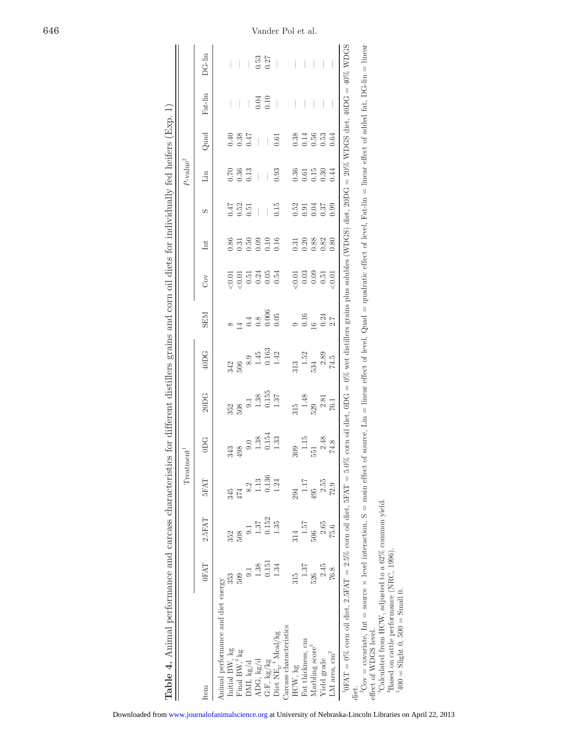|                                                                                                                                                                                                            |                  |        | Treatment <sup>1</sup> |                                                             |                                             |                                                                                                                |                                          |                                                             |                                             |                      | $P$ -value <sup>2</sup>               |      |                  |                  |
|------------------------------------------------------------------------------------------------------------------------------------------------------------------------------------------------------------|------------------|--------|------------------------|-------------------------------------------------------------|---------------------------------------------|----------------------------------------------------------------------------------------------------------------|------------------------------------------|-------------------------------------------------------------|---------------------------------------------|----------------------|---------------------------------------|------|------------------|------------------|
| <b>Item</b>                                                                                                                                                                                                | <b>OFAT</b>      | 2.5FAT | <b>SFAT</b>            | ODG.                                                        | 20<br>DC <sub>G</sub>                       | 40DG                                                                                                           | <b>NES</b>                               | Cov                                                         | Int                                         | S                    | $\mathop{\text{Lin}}$                 | Quad | Fat-lin          | DG-lin           |
| Animal performance and diet energy                                                                                                                                                                         |                  |        |                        |                                                             |                                             |                                                                                                                |                                          |                                                             |                                             |                      |                                       |      |                  |                  |
| Initial BW, kg                                                                                                                                                                                             |                  | 352    | 345                    | 343                                                         | 352                                         |                                                                                                                |                                          |                                                             | 0.86                                        |                      | 0.70                                  | 0.40 |                  |                  |
| Final BW, <sup>3</sup> kg                                                                                                                                                                                  | 509              | 508    | 474                    | 498                                                         | $\begin{array}{c} 508 \\ 9.1 \end{array}$   | 342<br>506                                                                                                     | $14$ $0.4$<br>$0.8$<br>$0.006$<br>$0.05$ |                                                             |                                             | 0.51<br>0.51<br>0.51 | 0.36                                  | 0.38 |                  |                  |
| DMI, kg/d                                                                                                                                                                                                  | $\overline{0}$ . | 0.1    | 8.2                    |                                                             |                                             | $\,8.9$                                                                                                        |                                          |                                                             | $\begin{array}{c} 0.31 \\ 0.50 \end{array}$ |                      | 0.13                                  | 0.47 |                  |                  |
| ADG, kg/d                                                                                                                                                                                                  | 1.38             | 1.37   | 1.13                   | $\begin{array}{c} 9.0 \\ 1.38 \\ 0.154 \\ 1.33 \end{array}$ |                                             |                                                                                                                |                                          |                                                             |                                             |                      | $\begin{array}{c} \hline \end{array}$ |      |                  |                  |
| G:F, kg/kg                                                                                                                                                                                                 | 0.151            | 0.152  | 0.136                  |                                                             |                                             |                                                                                                                |                                          |                                                             |                                             |                      |                                       |      | $0.04$<br>$0.10$ | $0.53$<br>$0.27$ |
| Diet $\mathrm{NE}_{g}, ^4$ Mcal/kg                                                                                                                                                                         | 1.34             | 1.35   | 1.24                   |                                                             | $\frac{1.38}{0.155}$                        | $1.45$<br>$0.163$<br>$1.42$                                                                                    |                                          |                                                             | $0.10$<br>$0.16$                            | 0.15                 | 0.93                                  | 0.61 |                  |                  |
| Carcass characteristics                                                                                                                                                                                    |                  |        |                        |                                                             |                                             |                                                                                                                |                                          |                                                             |                                             |                      |                                       |      |                  |                  |
| HCW, kg                                                                                                                                                                                                    | 315              | 314    | 294                    | 309                                                         |                                             |                                                                                                                |                                          |                                                             |                                             |                      |                                       | 0.38 |                  |                  |
| Fat thickness, cm                                                                                                                                                                                          | $1.37\,$         | 1.57   | 1.17                   | $1.15$                                                      | $\frac{315}{1.48}$                          | $\begin{array}{c} 313 \\ 1.52 \end{array}$                                                                     |                                          |                                                             |                                             |                      |                                       | 0.14 |                  |                  |
| Marbling score"                                                                                                                                                                                            | 526              | 506    | 495                    | 551                                                         |                                             | 534                                                                                                            | $0.16$<br>$16$                           |                                                             |                                             |                      |                                       | 0.56 |                  |                  |
| Yield grade                                                                                                                                                                                                | 2.45             | 2.65   | 2.55                   | $2.48$                                                      |                                             | $2.89\,$                                                                                                       |                                          | $\begin{array}{c} 0.01 \\ 0.03 \\ 0.09 \\ 0.51 \end{array}$ | $0.3088$<br>$0.388$<br>$0.82$               | 53<br>0.035<br>0.037 | $0.36$<br>$0.15$<br>$0.30$            | 0.53 |                  |                  |
| ${\rm LM}$ area, ${\rm cm}^2$                                                                                                                                                                              | 76.8             | 75.6   | 72.9                   | 74.8                                                        | $\begin{array}{c} 2.81 \\ 76.1 \end{array}$ | 74.5                                                                                                           | $0.24 \\ 2.7$                            | (0.01)                                                      | 0.80                                        | 0.99                 | 0.44                                  | 0.64 |                  |                  |
| ${}^{10}\text{FAT}=0\%$ corn oil diet, $2.5\text{FAT}=2.5\%$ corn oil diet, $5\text{FAT}=5.0\%$                                                                                                            |                  |        |                        |                                                             |                                             | corn oil diet, 0DG = 0% wet distillers grains plus solubles (WDGS) diet, 20DG = 20% WDGS diet, 40DG = 40% WDGS |                                          |                                                             |                                             |                      |                                       |      |                  |                  |
| diet.                                                                                                                                                                                                      |                  |        |                        |                                                             |                                             |                                                                                                                |                                          |                                                             |                                             |                      |                                       |      |                  |                  |
| ${}^2Cov = covariate$ , Int = source × level interaction, S = main effect of source, Lin = linear effect of level, Quad = quadratic effect of level, Fat-lin = linear effect of added fat, DG-lin = linear |                  |        |                        |                                                             |                                             |                                                                                                                |                                          |                                                             |                                             |                      |                                       |      |                  |                  |
| effect of WDGS level.                                                                                                                                                                                      |                  |        |                        |                                                             |                                             |                                                                                                                |                                          |                                                             |                                             |                      |                                       |      |                  |                  |
| <sup>3</sup> Calculated from HCW, adjusted to a 62% common yield.                                                                                                                                          |                  |        |                        |                                                             |                                             |                                                                                                                |                                          |                                                             |                                             |                      |                                       |      |                  |                  |
| <sup>4</sup> Based on cattle performance (NRC, 1996).                                                                                                                                                      |                  |        |                        |                                                             |                                             |                                                                                                                |                                          |                                                             |                                             |                      |                                       |      |                  |                  |
| $^{5400} =$ Slight 0, 500 = Small 0.                                                                                                                                                                       |                  |        |                        |                                                             |                                             |                                                                                                                |                                          |                                                             |                                             |                      |                                       |      |                  |                  |

**Table 4.** Animal performance and carcass characteristics for different distillers grains and corn oil diets for individually fed heifers (Exp. 1)

Table 4. Animal performance and carcass characteristics for different distillers grains and corn oil diets for individually fed heifers (Exp. 1)

646 Vander Pol et al.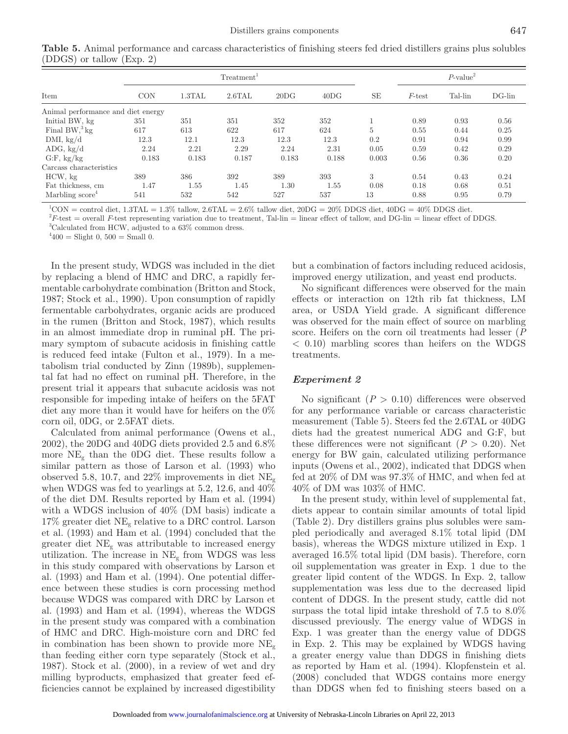|                                    |       |        | Treatment <sup>1</sup> |       |       |       | $P$ -value <sup>2</sup> |         |           |
|------------------------------------|-------|--------|------------------------|-------|-------|-------|-------------------------|---------|-----------|
| Item                               | CON   | 1.3TAL | 2.6TAL                 | 20DG  | 40DG  | SE    | $F$ -test               | Tal-lin | $DG$ -lin |
| Animal performance and diet energy |       |        |                        |       |       |       |                         |         |           |
| Initial BW, kg                     | 351   | 351    | 351                    | 352   | 352   |       | 0.89                    | 0.93    | 0.56      |
| Final $BW^3$ kg                    | 617   | 613    | 622                    | 617   | 624   | 5     | 0.55                    | 0.44    | 0.25      |
| DMI, $kg/d$                        | 12.3  | 12.1   | 12.3                   | 12.3  | 12.3  | 0.2   | 0.91                    | 0.94    | 0.99      |
| ADG, kg/d                          | 2.24  | 2.21   | 2.29                   | 2.24  | 2.31  | 0.05  | 0.59                    | 0.42    | 0.29      |
| G.F, kg/kg                         | 0.183 | 0.183  | 0.187                  | 0.183 | 0.188 | 0.003 | 0.56                    | 0.36    | 0.20      |
| Carcass characteristics            |       |        |                        |       |       |       |                         |         |           |
| HCW, kg                            | 389   | 386    | 392                    | 389   | 393   | 3     | 0.54                    | 0.43    | 0.24      |
| Fat thickness, cm                  | 1.47  | 1.55   | 1.45                   | 1.30  | 1.55  | 0.08  | 0.18                    | 0.68    | 0.51      |
| Marbling score <sup>4</sup>        | 541   | 532    | 542                    | 527   | 537   | 13    | 0.88                    | 0.95    | 0.79      |

 ${}^{1}$ CON = control diet, 1.3TAL = 1.3% tallow, 2.6TAL = 2.6% tallow diet, 20DG = 20% DDGS diet, 40DG = 40% DDGS diet.

 ${}^{2}F$ -test = overall *F*-test representing variation due to treatment, Tal-lin = linear effect of tallow, and DG-lin = linear effect of DDGS.

3 Calculated from HCW, adjusted to a 63% common dress.

 $^{4}400 =$  Slight 0, 500 = Small 0.

In the present study, WDGS was included in the diet by replacing a blend of HMC and DRC, a rapidly fermentable carbohydrate combination (Britton and Stock, 1987; Stock et al., 1990). Upon consumption of rapidly fermentable carbohydrates, organic acids are produced in the rumen (Britton and Stock, 1987), which results in an almost immediate drop in ruminal pH. The primary symptom of subacute acidosis in finishing cattle is reduced feed intake (Fulton et al., 1979). In a metabolism trial conducted by Zinn (1989b), supplemental fat had no effect on ruminal pH. Therefore, in the present trial it appears that subacute acidosis was not responsible for impeding intake of heifers on the 5FAT diet any more than it would have for heifers on the 0% corn oil, 0DG, or 2.5FAT diets.

Calculated from animal performance (Owens et al., 2002), the 20DG and 40DG diets provided 2.5 and 6.8% more  $NE<sub>g</sub>$  than the ODG diet. These results follow a similar pattern as those of Larson et al. (1993) who observed 5.8, 10.7, and 22% improvements in diet  $NE<sub>g</sub>$ when WDGS was fed to yearlings at 5.2, 12.6, and 40% of the diet DM. Results reported by Ham et al. (1994) with a WDGS inclusion of 40% (DM basis) indicate a  $17\%$  greater diet NE<sub>g</sub> relative to a DRC control. Larson et al. (1993) and Ham et al. (1994) concluded that the greater diet  $NE<sub>g</sub>$  was attributable to increased energy utilization. The increase in  $NE<sub>g</sub>$  from WDGS was less in this study compared with observations by Larson et al. (1993) and Ham et al. (1994). One potential difference between these studies is corn processing method because WDGS was compared with DRC by Larson et al. (1993) and Ham et al. (1994), whereas the WDGS in the present study was compared with a combination of HMC and DRC. High-moisture corn and DRC fed in combination has been shown to provide more  $NE<sub>g</sub>$ than feeding either corn type separately (Stock et al., 1987). Stock et al. (2000), in a review of wet and dry milling byproducts, emphasized that greater feed efficiencies cannot be explained by increased digestibility but a combination of factors including reduced acidosis, improved energy utilization, and yeast end products.

No significant differences were observed for the main effects or interaction on 12th rib fat thickness, LM area, or USDA Yield grade. A significant difference was observed for the main effect of source on marbling score. Heifers on the corn oil treatments had lesser (*P* < 0.10) marbling scores than heifers on the WDGS treatments.

# *Experiment 2*

No significant  $(P > 0.10)$  differences were observed for any performance variable or carcass characteristic measurement (Table 5). Steers fed the 2.6TAL or 40DG diets had the greatest numerical ADG and G:F, but these differences were not significant  $(P > 0.20)$ . Net energy for BW gain, calculated utilizing performance inputs (Owens et al., 2002), indicated that DDGS when fed at 20% of DM was 97.3% of HMC, and when fed at 40% of DM was 103% of HMC.

In the present study, within level of supplemental fat, diets appear to contain similar amounts of total lipid (Table 2). Dry distillers grains plus solubles were sampled periodically and averaged 8.1% total lipid (DM basis), whereas the WDGS mixture utilized in Exp. 1 averaged 16.5% total lipid (DM basis). Therefore, corn oil supplementation was greater in Exp. 1 due to the greater lipid content of the WDGS. In Exp. 2, tallow supplementation was less due to the decreased lipid content of DDGS. In the present study, cattle did not surpass the total lipid intake threshold of 7.5 to 8.0% discussed previously. The energy value of WDGS in Exp. 1 was greater than the energy value of DDGS in Exp. 2. This may be explained by WDGS having a greater energy value than DDGS in finishing diets as reported by Ham et al. (1994). Klopfenstein et al. (2008) concluded that WDGS contains more energy than DDGS when fed to finishing steers based on a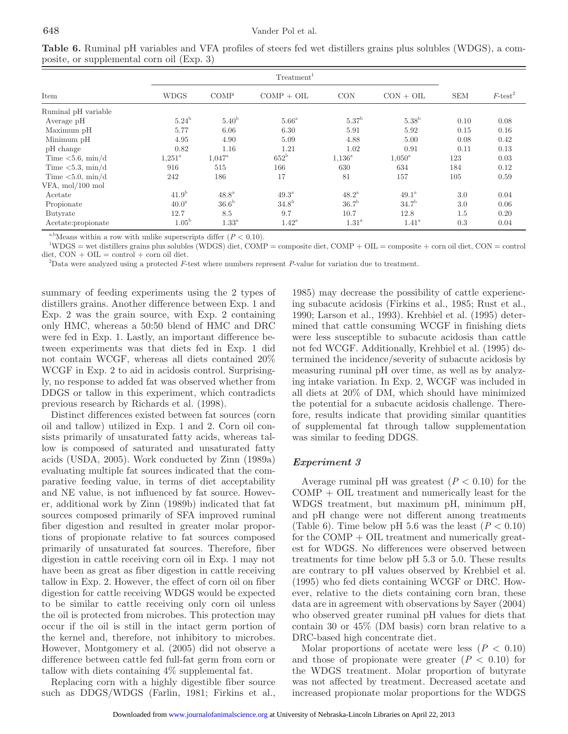| Item                 | <b>WDGS</b>       | <b>COMP</b>         | $COMP + OIL$        | <b>CON</b>        | $CON + OIL$       | <b>SEM</b> | $F$ -test <sup>2</sup> |
|----------------------|-------------------|---------------------|---------------------|-------------------|-------------------|------------|------------------------|
| Ruminal pH variable  |                   |                     |                     |                   |                   |            |                        |
| Average pH           | 5.24 <sup>b</sup> | 5.40 <sup>b</sup>   | $5.66^{\mathrm{a}}$ | 5.37 <sup>b</sup> | 5.38 <sup>b</sup> | 0.10       | 0.08                   |
| Maximum pH           | 5.77              | 6.06                | 6.30                | 5.91              | 5.92              | 0.15       | 0.16                   |
| Minimum pH           | 4.95              | 4.90                | 5.09                | 4.88              | 5.00              | 0.08       | 0.42                   |
| pH change            | 0.82              | 1.16                | 1.21                | 1.02              | 0.91              | 0.11       | 0.13                   |
| Time $< 5.6$ , min/d | $1,251^{\circ}$   | $1,047^{\rm a}$     | $652^{\rm b}$       | $1.136^{\rm a}$   | $1,050^{\rm a}$   | 123        | 0.03                   |
| Time $< 5.3$ , min/d | 916               | 515                 | 166                 | 630               | 634               | 184        | 0.12                   |
| Time $< 5.0$ , min/d | 242               | 186                 | 17                  | 81                | 157               | 105        | 0.59                   |
| VFA, mol/100 mol     |                   |                     |                     |                   |                   |            |                        |
| Acetate              | 41.9 <sup>b</sup> | $48.8^{\rm a}$      | $49.3^{\rm a}$      | $48.2^{\rm a}$    | $49.1^{\rm a}$    | 3.0        | 0.04                   |
| Propionate           | 40.0 <sup>a</sup> | 36.6 <sup>b</sup>   | 34.8 <sup>b</sup>   | 36.7 <sup>b</sup> | 34.7 <sup>b</sup> | 3.0        | 0.06                   |
| Butyrate             | 12.7              | 8.5                 | 9.7                 | 10.7              | 12.8              | 1.5        | 0.20                   |
| Acetate: propionate  | $1.05^{\rm b}$    | $1.33^{\mathrm{a}}$ | $1.42^{\rm a}$      | 1.31 <sup>a</sup> | $1.41^{\circ}$    | 0.3        | 0.04                   |

**Table 6.** Ruminal pH variables and VFA profiles of steers fed wet distillers grains plus solubles (WDGS), a composite, or supplemental corn oil (Exp. 3)

<sup>a,b</sup>Means within a row with unlike superscripts differ  $(P < 0.10)$ .

1 WDGS = wet distillers grains plus solubles (WDGS) diet, COMP = composite diet, COMP + OIL = composite + corn oil diet, CON = control  $\text{dist}, \text{CON} + \text{OIL} = \text{control} + \text{corn oil diet}.$ 

2 Data were analyzed using a protected *F*-test where numbers represent *P*-value for variation due to treatment.

summary of feeding experiments using the 2 types of distillers grains. Another difference between Exp. 1 and Exp. 2 was the grain source, with Exp. 2 containing only HMC, whereas a 50:50 blend of HMC and DRC were fed in Exp. 1. Lastly, an important difference between experiments was that diets fed in Exp. 1 did not contain WCGF, whereas all diets contained 20% WCGF in Exp. 2 to aid in acidosis control. Surprisingly, no response to added fat was observed whether from DDGS or tallow in this experiment, which contradicts previous research by Richards et al. (1998).

Distinct differences existed between fat sources (corn oil and tallow) utilized in Exp. 1 and 2. Corn oil consists primarily of unsaturated fatty acids, whereas tallow is composed of saturated and unsaturated fatty acids (USDA, 2005). Work conducted by Zinn (1989a) evaluating multiple fat sources indicated that the comparative feeding value, in terms of diet acceptability and NE value, is not influenced by fat source. However, additional work by Zinn (1989b) indicated that fat sources composed primarily of SFA improved ruminal fiber digestion and resulted in greater molar proportions of propionate relative to fat sources composed primarily of unsaturated fat sources. Therefore, fiber digestion in cattle receiving corn oil in Exp. 1 may not have been as great as fiber digestion in cattle receiving tallow in Exp. 2. However, the effect of corn oil on fiber digestion for cattle receiving WDGS would be expected to be similar to cattle receiving only corn oil unless the oil is protected from microbes. This protection may occur if the oil is still in the intact germ portion of the kernel and, therefore, not inhibitory to microbes. However, Montgomery et al. (2005) did not observe a difference between cattle fed full-fat germ from corn or tallow with diets containing 4% supplemental fat.

Replacing corn with a highly digestible fiber source such as DDGS/WDGS (Farlin, 1981; Firkins et al., 1985) may decrease the possibility of cattle experiencing subacute acidosis (Firkins et al., 1985; Rust et al., 1990; Larson et al., 1993). Krehbiel et al. (1995) determined that cattle consuming WCGF in finishing diets were less susceptible to subacute acidosis than cattle not fed WCGF. Additionally, Krehbiel et al. (1995) determined the incidence/severity of subacute acidosis by measuring ruminal pH over time, as well as by analyzing intake variation. In Exp. 2, WCGF was included in all diets at 20% of DM, which should have minimized the potential for a subacute acidosis challenge. Therefore, results indicate that providing similar quantities of supplemental fat through tallow supplementation was similar to feeding DDGS.

# *Experiment 3*

Average ruminal pH was greatest  $(P < 0.10)$  for the COMP + OIL treatment and numerically least for the WDGS treatment, but maximum pH, minimum pH, and pH change were not different among treatments (Table 6). Time below pH 5.6 was the least  $(P < 0.10)$ for the  $\text{COMP} + \text{OIL}$  treatment and numerically greatest for WDGS. No differences were observed between treatments for time below pH 5.3 or 5.0. These results are contrary to pH values observed by Krehbiel et al. (1995) who fed diets containing WCGF or DRC. However, relative to the diets containing corn bran, these data are in agreement with observations by Sayer (2004) who observed greater ruminal pH values for diets that contain 30 or 45% (DM basis) corn bran relative to a DRC-based high concentrate diet.

Molar proportions of acetate were less  $(P < 0.10)$ and those of propionate were greater  $(P < 0.10)$  for the WDGS treatment. Molar proportion of butyrate was not affected by treatment. Decreased acetate and increased propionate molar proportions for the WDGS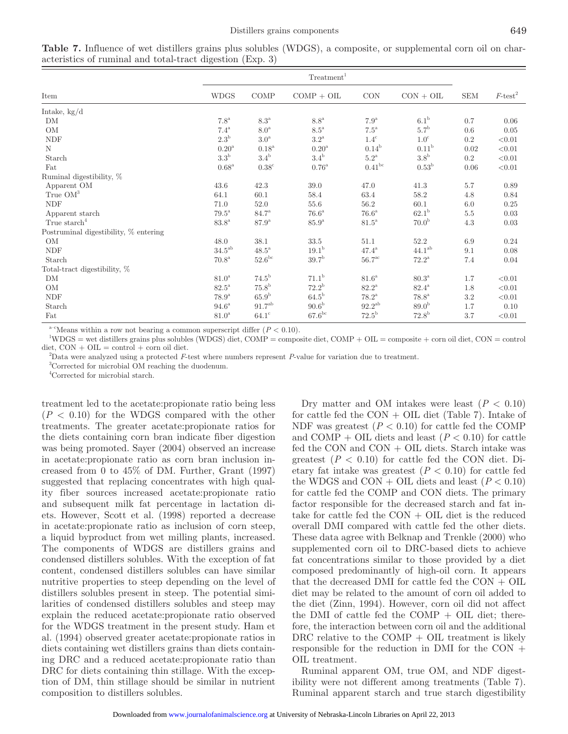|                                       | Treatment <sup>1</sup> |                    |                     |                      |                     |             |                        |
|---------------------------------------|------------------------|--------------------|---------------------|----------------------|---------------------|-------------|------------------------|
| Item                                  | <b>WDGS</b>            | $\rm{COMP}$        | $COMP + OIL$        | $\rm CON$            | $CON + OIL$         | ${\rm SEM}$ | $F$ -test <sup>2</sup> |
| Intake, $kg/d$                        |                        |                    |                     |                      |                     |             |                        |
| DΜ                                    | $7.8^{\mathrm{a}}$     | $8.3^{\mathrm{a}}$ | $8.8^{\rm a}$       | $7.9^{\mathrm{a}}$   | 6.1 <sup>b</sup>    | 0.7         | 0.06                   |
| OM                                    | $7.4^{\mathrm{a}}$     | $8.0^{\mathrm{a}}$ | $8.5^{\mathrm{a}}$  | $7.5^{\mathrm{a}}$   | $5.7^{\rm b}$       | 0.6         | 0.05                   |
| <b>NDF</b>                            | $2.3^{\rm b}$          | $3.0^{\mathrm{a}}$ | $3.2^{\mathrm{a}}$  | $1.4^{\circ}$        | 1.0 <sup>c</sup>    | $0.2\,$     | < 0.01                 |
| N                                     | 0.20 <sup>a</sup>      | 0.18 <sup>a</sup>  | 0.20 <sup>a</sup>   | $0.14^{b}$           | 0.11 <sup>b</sup>   | 0.02        | < 0.01                 |
| Starch                                | $3.3^{\rm b}$          | $3.4^{\rm b}$      | $3.4^{\rm b}$       | $5.2^{\mathrm{a}}$   | 3.8 <sup>b</sup>    | 0.2         | < 0.01                 |
| Fat                                   | $0.68$ <sup>a</sup>    | $0.38^{\circ}$     | $0.76^{\mathrm{a}}$ | $0.41^{bc}$          | $0.53^{\rm b}$      | 0.06        | < 0.01                 |
| Ruminal digestibility, %              |                        |                    |                     |                      |                     |             |                        |
| Apparent OM                           | 43.6                   | 42.3               | 39.0                | 47.0                 | 41.3                | 5.7         | 0.89                   |
| True $OM^3$                           | 64.1                   | 60.1               | 58.4                | 63.4                 | 58.2                | 4.8         | 0.84                   |
| <b>NDF</b>                            | 71.0                   | 52.0               | 55.6                | 56.2                 | 60.1                | 6.0         | 0.25                   |
| Apparent starch                       | $79.5^{\mathrm{a}}$    | $84.7^{\rm a}$     | $76.6^{\mathrm{a}}$ | $76.6^{\mathrm{a}}$  | 62.1 <sup>b</sup>   | 5.5         | 0.03                   |
| True starch <sup>4</sup>              | $83.8^{\rm {a}}$       | 87.9 <sup>a</sup>  | 85.9 <sup>a</sup>   | $81.5^{\mathrm{a}}$  | 70.0 <sup>b</sup>   | 4.3         | 0.03                   |
| Postruminal digestibility, % entering |                        |                    |                     |                      |                     |             |                        |
| OM                                    | 48.0                   | 38.1               | 33.5                | 51.1                 | 52.2                | 6.9         | 0.24                   |
| <b>NDF</b>                            | $34.5^{\rm ab}$        | $48.5^{\rm a}$     | $19.1^{\rm b}$      | $47.4^{\mathrm{a}}$  | $44.1^{ab}$         | 9.1         | 0.08                   |
| Starch                                | $70.8^{\mathrm{a}}$    | $52.6^{\rm bc}$    | 39.7 <sup>b</sup>   | $56.7^{\mathrm{ac}}$ | $72.2^{\rm a}$      | 7.4         | 0.04                   |
| Total-tract digestibility, %          |                        |                    |                     |                      |                     |             |                        |
| DM                                    | 81.0 <sup>a</sup>      | $74.5^{\rm b}$     | $71.1^{\rm b}$      | $81.6^{\mathrm{a}}$  | $80.3^{\mathrm{a}}$ | 1.7         | < 0.01                 |
| OM                                    | $82.5^{\mathrm{a}}$    | 75.8 <sup>b</sup>  | $72.2^{\rm b}$      | $82.2^{\mathrm{a}}$  | $82.4^{\rm a}$      | 1.8         | < 0.01                 |
| <b>NDF</b>                            | $78.9^{\mathrm{a}}$    | 65.9 <sup>b</sup>  | $64.5^{\rm b}$      | $78.2^{\rm a}$       | $78.8^{\mathrm{a}}$ | $3.2\,$     | < 0.01                 |
| Starch                                | $94.6^{\mathrm{a}}$    | 91.7 <sup>ab</sup> | 90.6 <sup>b</sup>   | $92.2^{\rm ab}$      | 89.0 <sup>b</sup>   | 1.7         | 0.10                   |
| Fat                                   | $81.0^{\mathrm{a}}$    | $64.1^\circ$       | $67.6^{bc}$         | $72.5^{\rm b}$       | $72.8^{b}$          | 3.7         | < 0.01                 |

**Table 7.** Influence of wet distillers grains plus solubles (WDGS), a composite, or supplemental corn oil on characteristics of ruminal and total-tract digestion (Exp. 3)

<sup>a-c</sup>Means within a row not bearing a common superscript differ  $(P < 0.10)$ .

1 WDGS = wet distillers grains plus solubles (WDGS) diet, COMP = composite diet, COMP + OIL = composite + corn oil diet, CON = control  $\text{dist}, \text{CON} + \text{OLL} = \text{control} + \text{corn oil diet}.$ 

2 Data were analyzed using a protected *F*-test where numbers represent *P*-value for variation due to treatment.

<sup>3</sup>Corrected for microbial OM reaching the duodenum.

4 Corrected for microbial starch.

treatment led to the acetate:propionate ratio being less  $(P < 0.10)$  for the WDGS compared with the other treatments. The greater acetate:propionate ratios for the diets containing corn bran indicate fiber digestion was being promoted. Sayer (2004) observed an increase in acetate:propionate ratio as corn bran inclusion increased from 0 to 45% of DM. Further, Grant (1997) suggested that replacing concentrates with high quality fiber sources increased acetate:propionate ratio and subsequent milk fat percentage in lactation diets. However, Scott et al. (1998) reported a decrease in acetate:propionate ratio as inclusion of corn steep, a liquid byproduct from wet milling plants, increased. The components of WDGS are distillers grains and condensed distillers solubles. With the exception of fat content, condensed distillers solubles can have similar nutritive properties to steep depending on the level of distillers solubles present in steep. The potential similarities of condensed distillers solubles and steep may explain the reduced acetate:propionate ratio observed for the WDGS treatment in the present study. Ham et al. (1994) observed greater acetate:propionate ratios in diets containing wet distillers grains than diets containing DRC and a reduced acetate:propionate ratio than DRC for diets containing thin stillage. With the exception of DM, thin stillage should be similar in nutrient composition to distillers solubles.

Dry matter and OM intakes were least  $(P < 0.10)$ for cattle fed the  $CON + OIL$  diet (Table 7). Intake of NDF was greatest  $(P < 0.10)$  for cattle fed the COMP and COMP + OIL diets and least  $(P < 0.10)$  for cattle fed the CON and CON + OIL diets. Starch intake was greatest  $(P < 0.10)$  for cattle fed the CON diet. Dietary fat intake was greatest  $(P < 0.10)$  for cattle fed the WDGS and CON + OIL diets and least  $(P < 0.10)$ for cattle fed the COMP and CON diets. The primary factor responsible for the decreased starch and fat intake for cattle fed the  $CON + OIL$  diet is the reduced overall DMI compared with cattle fed the other diets. These data agree with Belknap and Trenkle (2000) who supplemented corn oil to DRC-based diets to achieve fat concentrations similar to those provided by a diet composed predominantly of high-oil corn. It appears that the decreased DMI for cattle fed the CON + OIL diet may be related to the amount of corn oil added to the diet (Zinn, 1994). However, corn oil did not affect the DMI of cattle fed the  $COMP + OIL$  diet; therefore, the interaction between corn oil and the additional DRC relative to the  $COMP + OIL$  treatment is likely responsible for the reduction in DMI for the CON  $+$ OIL treatment.

Ruminal apparent OM, true OM, and NDF digestibility were not different among treatments (Table 7). Ruminal apparent starch and true starch digestibility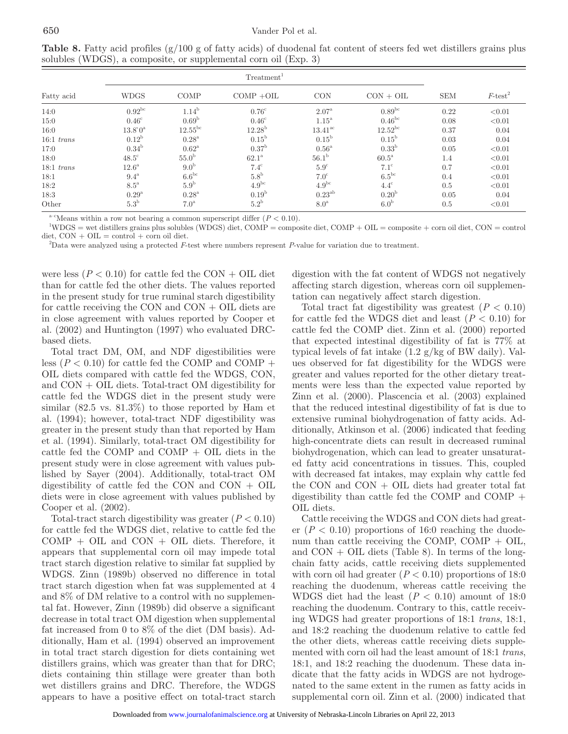| Fatty acid   | <b>WDGS</b>         | COMP                  | $COMP + OIL$      | <b>CON</b>          | $CON + OIL$         | <b>SEM</b> | $F$ -test <sup>2</sup> |
|--------------|---------------------|-----------------------|-------------------|---------------------|---------------------|------------|------------------------|
| 14:0         | $0.92^{bc}$         | $1.14^{b}$            | $0.76^{\circ}$    | $2.07^{\rm a}$      | $0.89^{bc}$         | 0.22       | < 0.01                 |
| 15:0         | $0.46^{\circ}$      | 0.69 <sup>b</sup>     | $0.46^{\circ}$    | $1.15^{\mathrm{a}}$ | $0.46^{bc}$         | 0.08       | < 0.01                 |
| 16:0         | $13.8^{\circ}0^{a}$ | $12.55$ <sup>bc</sup> | $12.28^{\rm b}$   | $13.41^{\rm ac}$    | $12.52^{bc}$        | 0.37       | 0.04                   |
| $16:1$ trans | 0.12 <sup>b</sup>   | $0.28^{\mathrm{a}}$   | $0.15^{\rm b}$    | $0.15^{\rm b}$      | $0.15^{\rm b}$      | 0.03       | 0.04                   |
| 17:0         | 0.34 <sup>b</sup>   | $0.62^{\mathrm{a}}$   | 0.37 <sup>b</sup> | $0.56^{\mathrm{a}}$ | 0.33 <sup>b</sup>   | 0.05       | < 0.01                 |
| 18:0         | $48.5^{\circ}$      | 55.0 <sup>b</sup>     | 62.1 <sup>a</sup> | 56.1 <sup>b</sup>   | $60.5^{\mathrm{a}}$ | 1.4        | < 0.01                 |
| $18:1$ trans | $12.6^{\mathrm{a}}$ | 9.0 <sup>b</sup>      | $7.4^\circ$       | $5.9^\circ$         | $7.1^\circ$         | 0.7        | < 0.01                 |
| 18:1         | $9.4^{\mathrm{a}}$  | $6.6^{bc}$            | 5.8 <sup>b</sup>  | $7.0^\circ$         | $6.5^{bc}$          | 0.4        | < 0.01                 |
| 18:2         | $8.5^{\mathrm{a}}$  | 5.9 <sup>b</sup>      | $4.9^{bc}$        | $4.9^{bc}$          | $4.4^\circ$         | 0.5        | < 0.01                 |
| 18:3         | $0.29^{a}$          | $0.28^{\rm a}$        | 0.19 <sup>b</sup> | $0.23^{ab}$         | 0.20 <sup>b</sup>   | 0.05       | 0.04                   |
| Other        | $5.3^{\rm b}$       | 7.0 <sup>a</sup>      | $5.2^{\rm b}$     | 8.0 <sup>a</sup>    | 6.0 <sup>b</sup>    | 0.5        | < 0.01                 |

**Table 8.** Fatty acid profiles (g/100 g of fatty acids) of duodenal fat content of steers fed wet distillers grains plus solubles (WDGS), a composite, or supplemental corn oil (Exp. 3)

 $a^{-c}$ Means within a row not bearing a common superscript differ  $(P < 0.10)$ .

1 WDGS = wet distillers grains plus solubles (WDGS) diet, COMP = composite diet, COMP + OIL = composite + corn oil diet, CON = control  $\text{dist}, \text{CON} + \text{OIL} = \text{control} + \text{corn oil diet}.$ 

2 Data were analyzed using a protected *F*-test where numbers represent *P*-value for variation due to treatment.

were less ( $P < 0.10$ ) for cattle fed the CON + OIL diet than for cattle fed the other diets. The values reported in the present study for true ruminal starch digestibility for cattle receiving the CON and  $CON + OIL$  diets are in close agreement with values reported by Cooper et al. (2002) and Huntington (1997) who evaluated DRCbased diets.

Total tract DM, OM, and NDF digestibilities were less  $(P < 0.10)$  for cattle fed the COMP and COMP + OIL diets compared with cattle fed the WDGS, CON, and CON + OIL diets. Total-tract OM digestibility for cattle fed the WDGS diet in the present study were similar  $(82.5 \text{ vs. } 81.3\%)$  to those reported by Ham et al. (1994); however, total-tract NDF digestibility was greater in the present study than that reported by Ham et al. (1994). Similarly, total-tract OM digestibility for cattle fed the COMP and COMP + OIL diets in the present study were in close agreement with values published by Sayer (2004). Additionally, total-tract OM digestibility of cattle fed the CON and  $CON + OIL$ diets were in close agreement with values published by Cooper et al. (2002).

Total-tract starch digestibility was greater  $(P < 0.10)$ for cattle fed the WDGS diet, relative to cattle fed the  $COMP + OIL$  and  $CON + OIL$  diets. Therefore, it appears that supplemental corn oil may impede total tract starch digestion relative to similar fat supplied by WDGS. Zinn (1989b) observed no difference in total tract starch digestion when fat was supplemented at 4 and 8% of DM relative to a control with no supplemental fat. However, Zinn (1989b) did observe a significant decrease in total tract OM digestion when supplemental fat increased from 0 to 8% of the diet (DM basis). Additionally, Ham et al. (1994) observed an improvement in total tract starch digestion for diets containing wet distillers grains, which was greater than that for DRC; diets containing thin stillage were greater than both wet distillers grains and DRC. Therefore, the WDGS appears to have a positive effect on total-tract starch digestion with the fat content of WDGS not negatively affecting starch digestion, whereas corn oil supplementation can negatively affect starch digestion.

Total tract fat digestibility was greatest  $(P < 0.10)$ for cattle fed the WDGS diet and least  $(P < 0.10)$  for cattle fed the COMP diet. Zinn et al. (2000) reported that expected intestinal digestibility of fat is 77% at typical levels of fat intake (1.2 g/kg of BW daily). Values observed for fat digestibility for the WDGS were greater and values reported for the other dietary treatments were less than the expected value reported by Zinn et al. (2000). Plascencia et al. (2003) explained that the reduced intestinal digestibility of fat is due to extensive ruminal biohydrogenation of fatty acids. Additionally, Atkinson et al. (2006) indicated that feeding high-concentrate diets can result in decreased ruminal biohydrogenation, which can lead to greater unsaturated fatty acid concentrations in tissues. This, coupled with decreased fat intakes, may explain why cattle fed the CON and  $CON + OIL$  diets had greater total fat digestibility than cattle fed the COMP and COMP  $+$ OIL diets.

Cattle receiving the WDGS and CON diets had greater  $(P < 0.10)$  proportions of 16:0 reaching the duodenum than cattle receiving the COMP, COMP  $+$  OIL, and  $CON + OIL$  diets (Table 8). In terms of the longchain fatty acids, cattle receiving diets supplemented with corn oil had greater  $(P < 0.10)$  proportions of 18:0 reaching the duodenum, whereas cattle receiving the WDGS diet had the least  $(P < 0.10)$  amount of 18:0 reaching the duodenum. Contrary to this, cattle receiving WDGS had greater proportions of 18:1 *trans*, 18:1, and 18:2 reaching the duodenum relative to cattle fed the other diets, whereas cattle receiving diets supplemented with corn oil had the least amount of 18:1 *trans*, 18:1, and 18:2 reaching the duodenum. These data indicate that the fatty acids in WDGS are not hydrogenated to the same extent in the rumen as fatty acids in supplemental corn oil. Zinn et al. (2000) indicated that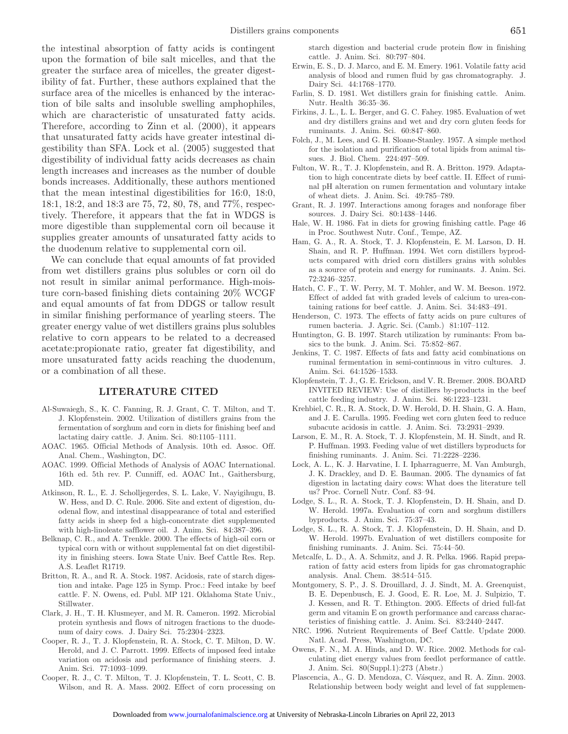the intestinal absorption of fatty acids is contingent upon the formation of bile salt micelles, and that the greater the surface area of micelles, the greater digestibility of fat. Further, these authors explained that the surface area of the micelles is enhanced by the interaction of bile salts and insoluble swelling amphophiles, which are characteristic of unsaturated fatty acids. Therefore, according to Zinn et al. (2000), it appears that unsaturated fatty acids have greater intestinal digestibility than SFA. Lock et al. (2005) suggested that digestibility of individual fatty acids decreases as chain length increases and increases as the number of double bonds increases. Additionally, these authors mentioned that the mean intestinal digestibilities for 16:0, 18:0, 18:1, 18:2, and 18:3 are 75, 72, 80, 78, and 77%, respectively. Therefore, it appears that the fat in WDGS is more digestible than supplemental corn oil because it supplies greater amounts of unsaturated fatty acids to the duodenum relative to supplemental corn oil.

We can conclude that equal amounts of fat provided from wet distillers grains plus solubles or corn oil do not result in similar animal performance. High-moisture corn-based finishing diets containing 20% WCGF and equal amounts of fat from DDGS or tallow result in similar finishing performance of yearling steers. The greater energy value of wet distillers grains plus solubles relative to corn appears to be related to a decreased acetate:propionate ratio, greater fat digestibility, and more unsaturated fatty acids reaching the duodenum, or a combination of all these.

## **LITERATURE CITED**

- Al-Suwaiegh, S., K. C. Fanning, R. J. Grant, C. T. Milton, and T. J. Klopfenstein. 2002. Utilization of distillers grains from the fermentation of sorghum and corn in diets for finishing beef and lactating dairy cattle. J. Anim. Sci. 80:1105–1111.
- AOAC. 1965. Official Methods of Analysis. 10th ed. Assoc. Off. Anal. Chem., Washington, DC.
- AOAC. 1999. Official Methods of Analysis of AOAC International. 16th ed. 5th rev. P. Cunniff, ed. AOAC Int., Gaithersburg, MD.
- Atkinson, R. L., E. J. Scholljegerdes, S. L. Lake, V. Nayigihugu, B. W. Hess, and D. C. Rule. 2006. Site and extent of digestion, duodenal flow, and intestinal disappearance of total and esterified fatty acids in sheep fed a high-concentrate diet supplemented with high-linoleate safflower oil. J. Anim. Sci. 84:387–396.
- Belknap, C. R., and A. Trenkle. 2000. The effects of high-oil corn or typical corn with or without supplemental fat on diet digestibility in finishing steers. Iowa State Univ. Beef Cattle Res. Rep. A.S. Leaflet R1719.
- Britton, R. A., and R. A. Stock. 1987. Acidosis, rate of starch digestion and intake. Page 125 in Symp. Proc.: Feed intake by beef cattle. F. N. Owens, ed. Publ. MP 121. Oklahoma State Univ., Stillwater.
- Clark, J. H., T. H. Klusmeyer, and M. R. Cameron. 1992. Microbial protein synthesis and flows of nitrogen fractions to the duodenum of dairy cows. J. Dairy Sci. 75:2304–2323.
- Cooper, R. J., T. J. Klopfenstein, R. A. Stock, C. T. Milton, D. W. Herold, and J. C. Parrott. 1999. Effects of imposed feed intake variation on acidosis and performance of finishing steers. J. Anim. Sci. 77:1093–1099.
- Cooper, R. J., C. T. Milton, T. J. Klopfenstein, T. L. Scott, C. B. Wilson, and R. A. Mass. 2002. Effect of corn processing on

starch digestion and bacterial crude protein flow in finishing cattle. J. Anim. Sci. 80:797–804.

- Erwin, E. S., D. J. Marco, and E. M. Emery. 1961. Volatile fatty acid analysis of blood and rumen fluid by gas chromatography. J. Dairy Sci. 44:1768–1770.
- Farlin, S. D. 1981. Wet distillers grain for finishing cattle. Anim. Nutr. Health 36:35–36.
- Firkins, J. L., L. L. Berger, and G. C. Fahey. 1985. Evaluation of wet and dry distillers grains and wet and dry corn gluten feeds for ruminants. J. Anim. Sci. 60:847–860.
- Folch, J., M. Lees, and G. H. Sloane-Stanley. 1957. A simple method for the isolation and purification of total lipids from animal tissues. J. Biol. Chem. 224:497–509.
- Fulton, W. R., T. J. Klopfenstein, and R. A. Britton. 1979. Adaptation to high concentrate diets by beef cattle. II. Effect of ruminal pH alteration on rumen fermentation and voluntary intake of wheat diets. J. Anim. Sci. 49:785–789.
- Grant, R. J. 1997. Interactions among forages and nonforage fiber sources. J. Dairy Sci. 80:1438–1446.
- Hale, W. H. 1986. Fat in diets for growing finishing cattle. Page 46 in Proc. Southwest Nutr. Conf., Tempe, AZ.
- Ham, G. A., R. A. Stock, T. J. Klopfenstein, E. M. Larson, D. H. Shain, and R. P. Huffman. 1994. Wet corn distillers byproducts compared with dried corn distillers grains with solubles as a source of protein and energy for ruminants. J. Anim. Sci. 72:3246–3257.
- Hatch, C. F., T. W. Perry, M. T. Mohler, and W. M. Beeson. 1972. Effect of added fat with graded levels of calcium to urea-containing rations for beef cattle. J. Anim. Sci. 34:483–491.
- Henderson, C. 1973. The effects of fatty acids on pure cultures of rumen bacteria. J. Agric. Sci. (Camb.) 81:107–112.
- Huntington, G. B. 1997. Starch utilization by ruminants: From basics to the bunk. J. Anim. Sci. 75:852–867.
- Jenkins, T. C. 1987. Effects of fats and fatty acid combinations on ruminal fermentation in semi-continuous in vitro cultures. J. Anim. Sci. 64:1526–1533.
- Klopfenstein, T. J., G. E. Erickson, and V. R. Bremer. 2008. BOARD INVITED REVIEW: Use of distillers by-products in the beef cattle feeding industry. J. Anim. Sci. 86:1223–1231.
- Krehbiel, C. R., R. A. Stock, D. W. Herold, D. H. Shain, G. A. Ham, and J. E. Carulla. 1995. Feeding wet corn gluten feed to reduce subacute acidosis in cattle. J. Anim. Sci. 73:2931–2939.
- Larson, E. M., R. A. Stock, T. J. Klopfenstein, M. H. Sindt, and R. P. Huffman. 1993. Feeding value of wet distillers byproducts for finishing ruminants. J. Anim. Sci. 71:2228–2236.
- Lock, A. L., K. J. Harvatine, I. I. Ipharraguerre, M. Van Amburgh, J. K. Drackley, and D. E. Bauman. 2005. The dynamics of fat digestion in lactating dairy cows: What does the literature tell us? Proc. Cornell Nutr. Conf. 83–94.
- Lodge, S. L., R. A. Stock, T. J. Klopfenstein, D. H. Shain, and D. W. Herold. 1997a. Evaluation of corn and sorghum distillers byproducts. J. Anim. Sci. 75:37–43.
- Lodge, S. L., R. A. Stock, T. J. Klopfenstein, D. H. Shain, and D. W. Herold. 1997b. Evaluation of wet distillers composite for finishing ruminants. J. Anim. Sci. 75:44–50.
- Metcalfe, L. D., A. A. Schmitz, and J. R. Pelka. 1966. Rapid preparation of fatty acid esters from lipids for gas chromatographic analysis. Anal. Chem. 38:514–515.
- Montgomery, S. P., J. S. Drouillard, J. J. Sindt, M. A. Greenquist, B. E. Depenbusch, E. J. Good, E. R. Loe, M. J. Sulpizio, T. J. Kessen, and R. T. Ethington. 2005. Effects of dried full-fat germ and vitamin E on growth performance and carcass characteristics of finishing cattle. J. Anim. Sci. 83:2440–2447.
- NRC. 1996. Nutrient Requirements of Beef Cattle. Update 2000. Natl. Acad. Press, Washington, DC.
- Owens, F. N., M. A. Hinds, and D. W. Rice. 2002. Methods for calculating diet energy values from feedlot performance of cattle. J. Anim. Sci. 80(Suppl.1):273 (Abstr.)
- Plascencia, A., G. D. Mendoza, C. Vásquez, and R. A. Zinn. 2003. Relationship between body weight and level of fat supplemen-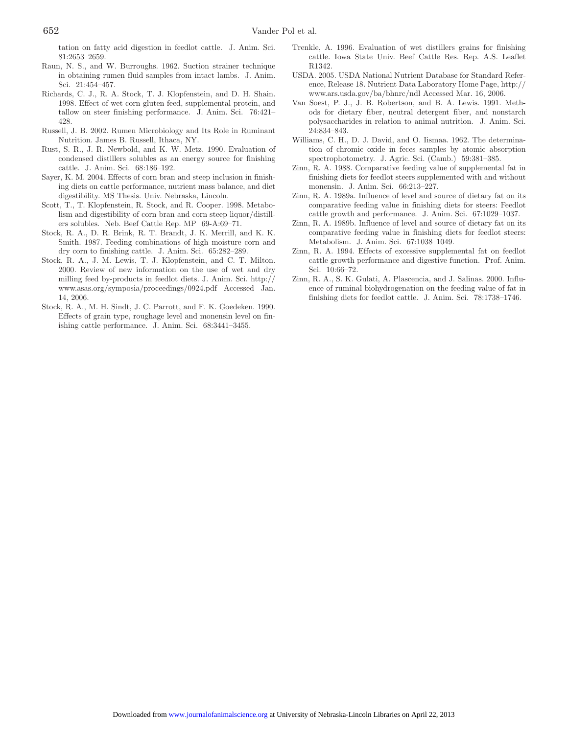tation on fatty acid digestion in feedlot cattle. J. Anim. Sci. 81:2653–2659.

- Raun, N. S., and W. Burroughs. 1962. Suction strainer technique in obtaining rumen fluid samples from intact lambs. J. Anim. Sci. 21:454–457.
- Richards, C. J., R. A. Stock, T. J. Klopfenstein, and D. H. Shain. 1998. Effect of wet corn gluten feed, supplemental protein, and tallow on steer finishing performance. J. Anim. Sci. 76:421– 428.
- Russell, J. B. 2002. Rumen Microbiology and Its Role in Ruminant Nutrition. James B. Russell, Ithaca, NY.
- Rust, S. R., J. R. Newbold, and K. W. Metz. 1990. Evaluation of condensed distillers solubles as an energy source for finishing cattle. J. Anim. Sci. 68:186–192.
- Sayer, K. M. 2004. Effects of corn bran and steep inclusion in finishing diets on cattle performance, nutrient mass balance, and diet digestibility. MS Thesis. Univ. Nebraska, Lincoln.
- Scott, T., T. Klopfenstein, R. Stock, and R. Cooper. 1998. Metabolism and digestibility of corn bran and corn steep liquor/distillers solubles. Neb. Beef Cattle Rep. MP 69-A:69–71.
- Stock, R. A., D. R. Brink, R. T. Brandt, J. K. Merrill, and K. K. Smith. 1987. Feeding combinations of high moisture corn and dry corn to finishing cattle. J. Anim. Sci. 65:282–289.
- Stock, R. A., J. M. Lewis, T. J. Klopfenstein, and C. T. Milton. 2000. Review of new information on the use of wet and dry milling feed by-products in feedlot diets. J. Anim. Sci. http:// www.asas.org/symposia/proceedings/0924.pdf Accessed Jan. 14, 2006.
- Stock, R. A., M. H. Sindt, J. C. Parrott, and F. K. Goedeken. 1990. Effects of grain type, roughage level and monensin level on finishing cattle performance. J. Anim. Sci. 68:3441–3455.
- Trenkle, A. 1996. Evaluation of wet distillers grains for finishing cattle. Iowa State Univ. Beef Cattle Res. Rep. A.S. Leaflet R1342.
- USDA. 2005. USDA National Nutrient Database for Standard Reference, Release 18. Nutrient Data Laboratory Home Page, http:// www.ars.usda.gov/ba/bhnrc/ndl Accessed Mar. 16, 2006.
- Van Soest, P. J., J. B. Robertson, and B. A. Lewis. 1991. Methods for dietary fiber, neutral detergent fiber, and nonstarch polysaccharides in relation to animal nutrition. J. Anim. Sci. 24:834–843.
- Williams, C. H., D. J. David, and O. Iismaa. 1962. The determination of chromic oxide in feces samples by atomic absorption spectrophotometry. J. Agric. Sci. (Camb.) 59:381–385.
- Zinn, R. A. 1988. Comparative feeding value of supplemental fat in finishing diets for feedlot steers supplemented with and without monensin. J. Anim. Sci. 66:213–227.
- Zinn, R. A. 1989a. Influence of level and source of dietary fat on its comparative feeding value in finishing diets for steers: Feedlot cattle growth and performance. J. Anim. Sci. 67:1029–1037.
- Zinn, R. A. 1989b. Influence of level and source of dietary fat on its comparative feeding value in finishing diets for feedlot steers: Metabolism. J. Anim. Sci. 67:1038–1049.
- Zinn, R. A. 1994. Effects of excessive supplemental fat on feedlot cattle growth performance and digestive function. Prof. Anim. Sci. 10:66–72.
- Zinn, R. A., S. K. Gulati, A. Plascencia, and J. Salinas. 2000. Influence of ruminal biohydrogenation on the feeding value of fat in finishing diets for feedlot cattle. J. Anim. Sci. 78:1738–1746.